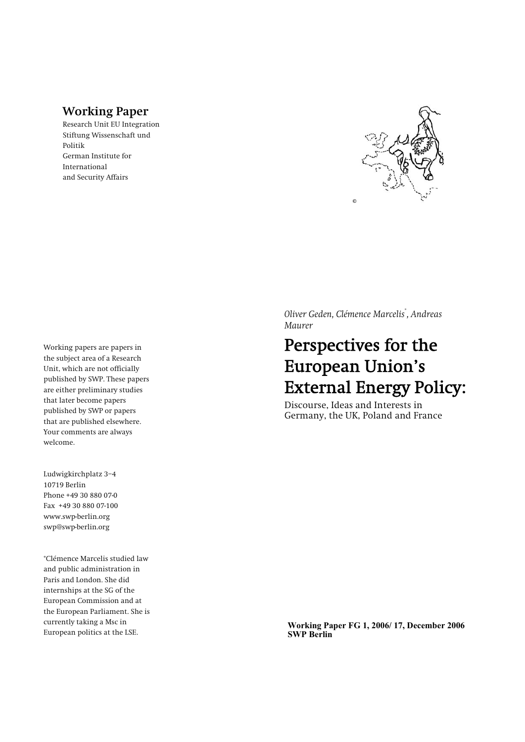# **Working Paper**

**Research Unit EU Integration Stiftung Wissenschaft und Politik German Institute for International and Security Affairs** 



*Oliver Geden, Clémence Marcelis***\*** *, Andreas Maurer* 

# Perspectives for the European Union's External Energy Policy:

**Discourse, Ideas and Interests in Germany, the UK, Poland and France** 

**Working papers are papers in the subject area of a Research Unit, which are not officially published by SWP. These papers are either preliminary studies that later become papers published by SWP or papers that are published elsewhere. Your comments are always welcome.**

Ludwigkirchplatz 3-4 **10719 Berlin Phone +49 30 880 07-0 Fax +49 30 880 07-100 www.swp-berlin.org swp@swp-berlin.org** 

**\*Clémence Marcelis studied law and public administration in Paris and London. She did internships at the SG of the European Commission and at the European Parliament. She is currently taking a Msc in European politics at the LSE.** 

**Working Paper FG 1, 2006/ 17, December 2006**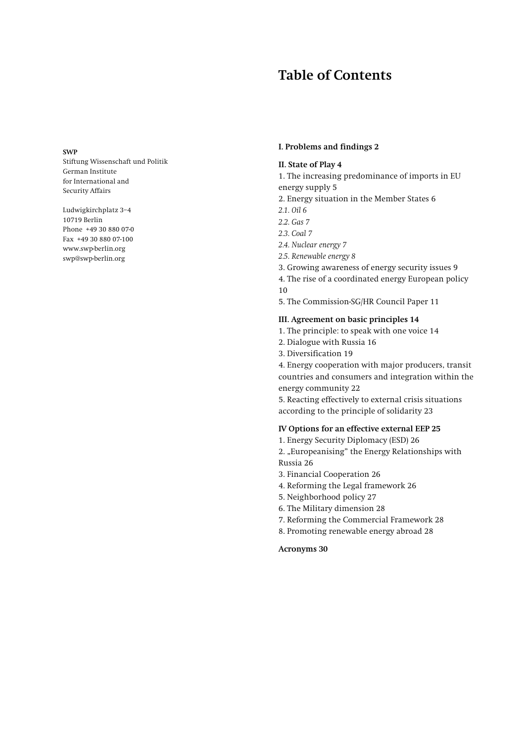# **Table of Contents**

#### **SWP**

**Stiftung Wissenschaft und Politik German Institute for International and Security Affairs** 

Ludwigkirchplatz 3-4 **10719 Berlin Phone +49 30 880 07-0 Fax +49 30 880 07-100 www.swp-berlin.org swp@swp-berlin.org** 

### **I. Problems and findings 2**

### **II. State of Play 4**

**1. The increasing predominance of imports in EU** 

- **energy supply 5**
- **2. Energy situation in the Member States 6**
- *2.1. Oil 6*
- *2.2. Gas 7*
- *2.3. Coal 7*
- *2.4. Nuclear energy 7*
- *2.5. Renewable energy 8*
- **3. Growing awareness of energy security issues 9**
- **4. The rise of a coordinated energy European policy 10**
- **5. The Commission-SG/HR Council Paper 11**

### **III. Agreement on basic principles 14**

- **1. The principle: to speak with one voice 14**
- **2. Dialogue with Russia 16**
- **3. Diversification 19**

**4. Energy cooperation with major producers, transit countries and consumers and integration within the energy community 22**

**5. Reacting effectively to external crisis situations according to the principle of solidarity 23**

### **IV Options for an effective external EEP 25**

**1. Energy Security Diplomacy (ESD) 26**

**2. "Europeanising" the Energy Relationships with Russia 26**

- **3. Financial Cooperation 26**
- **4. Reforming the Legal framework 26**
- **5. Neighborhood policy 27**
- **6. The Military dimension 28**
- **7. Reforming the Commercial Framework 28**
- **8. Promoting renewable energy abroad 28**

#### **Acronyms 30**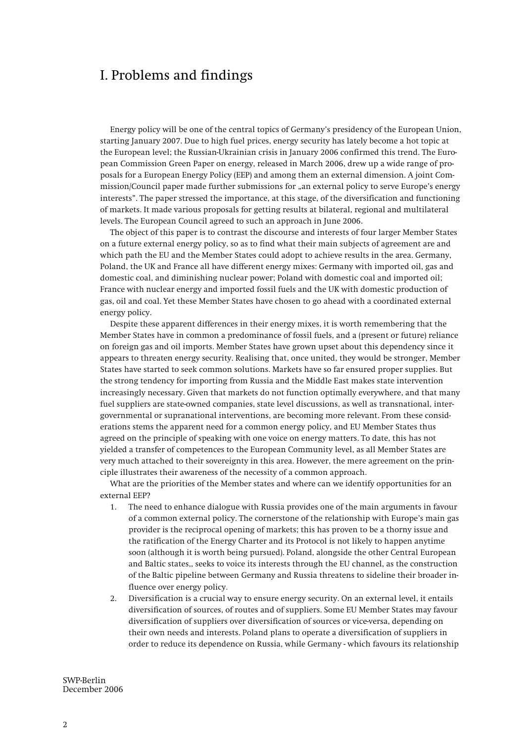# I. Problems and findings

**Energy policy will be one of the central topics of Germany's presidency of the European Union, starting January 2007. Due to high fuel prices, energy security has lately become a hot topic at the European level; the Russian-Ukrainian crisis in January 2006 confirmed this trend. The European Commission Green Paper on energy, released in March 2006, drew up a wide range of proposals for a European Energy Policy (EEP) and among them an external dimension. A joint Commission/Council paper made further submissions for "an external policy to serve Europe's energy interests". The paper stressed the importance, at this stage, of the diversification and functioning of markets. It made various proposals for getting results at bilateral, regional and multilateral levels. The European Council agreed to such an approach in June 2006.** 

**The object of this paper is to contrast the discourse and interests of four larger Member States on a future external energy policy, so as to find what their main subjects of agreement are and which path the EU and the Member States could adopt to achieve results in the area. Germany, Poland, the UK and France all have different energy mixes: Germany with imported oil, gas and domestic coal, and diminishing nuclear power; Poland with domestic coal and imported oil; France with nuclear energy and imported fossil fuels and the UK with domestic production of gas, oil and coal. Yet these Member States have chosen to go ahead with a coordinated external energy policy.** 

**Despite these apparent differences in their energy mixes, it is worth remembering that the Member States have in common a predominance of fossil fuels, and a (present or future) reliance on foreign gas and oil imports. Member States have grown upset about this dependency since it appears to threaten energy security. Realising that, once united, they would be stronger, Member States have started to seek common solutions. Markets have so far ensured proper supplies. But the strong tendency for importing from Russia and the Middle East makes state intervention increasingly necessary. Given that markets do not function optimally everywhere, and that many fuel suppliers are state-owned companies, state level discussions, as well as transnational, intergovernmental or supranational interventions, are becoming more relevant. From these considerations stems the apparent need for a common energy policy, and EU Member States thus agreed on the principle of speaking with one voice on energy matters. To date, this has not yielded a transfer of competences to the European Community level, as all Member States are very much attached to their sovereignty in this area. However, the mere agreement on the principle illustrates their awareness of the necessity of a common approach.** 

**What are the priorities of the Member states and where can we identify opportunities for an external EEP?** 

- **1. The need to enhance dialogue with Russia provides one of the main arguments in favour of a common external policy. The cornerstone of the relationship with Europe's main gas provider is the reciprocal opening of markets; this has proven to be a thorny issue and the ratification of the Energy Charter and its Protocol is not likely to happen anytime soon (although it is worth being pursued). Poland, alongside the other Central European and Baltic states,, seeks to voice its interests through the EU channel, as the construction of the Baltic pipeline between Germany and Russia threatens to sideline their broader influence over energy policy.**
- **2. Diversification is a crucial way to ensure energy security. On an external level, it entails diversification of sources, of routes and of suppliers. Some EU Member States may favour diversification of suppliers over diversification of sources or vice-versa, depending on their own needs and interests. Poland plans to operate a diversification of suppliers in order to reduce its dependence on Russia, while Germany - which favours its relationship**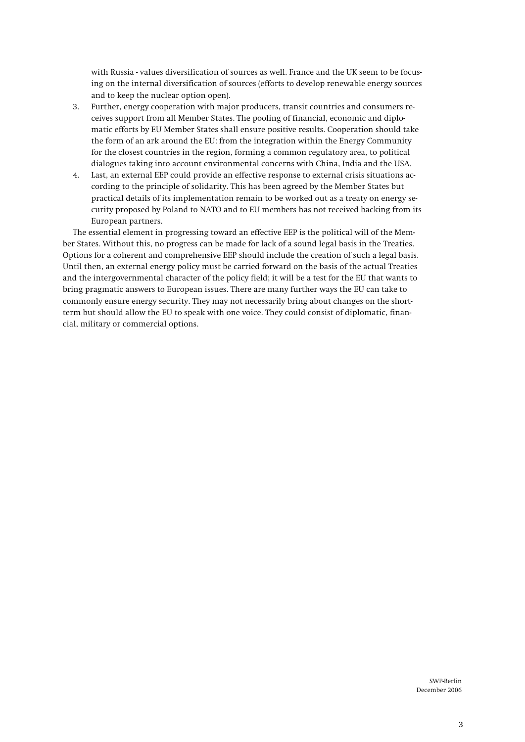**with Russia - values diversification of sources as well. France and the UK seem to be focusing on the internal diversification of sources (efforts to develop renewable energy sources and to keep the nuclear option open).** 

- **3. Further, energy cooperation with major producers, transit countries and consumers receives support from all Member States. The pooling of financial, economic and diplomatic efforts by EU Member States shall ensure positive results. Cooperation should take the form of an ark around the EU: from the integration within the Energy Community for the closest countries in the region, forming a common regulatory area, to political dialogues taking into account environmental concerns with China, India and the USA.**
- **4. Last, an external EEP could provide an effective response to external crisis situations according to the principle of solidarity. This has been agreed by the Member States but practical details of its implementation remain to be worked out as a treaty on energy security proposed by Poland to NATO and to EU members has not received backing from its European partners.**

**The essential element in progressing toward an effective EEP is the political will of the Member States. Without this, no progress can be made for lack of a sound legal basis in the Treaties. Options for a coherent and comprehensive EEP should include the creation of such a legal basis. Until then, an external energy policy must be carried forward on the basis of the actual Treaties and the intergovernmental character of the policy field; it will be a test for the EU that wants to bring pragmatic answers to European issues. There are many further ways the EU can take to commonly ensure energy security. They may not necessarily bring about changes on the shortterm but should allow the EU to speak with one voice. They could consist of diplomatic, financial, military or commercial options.**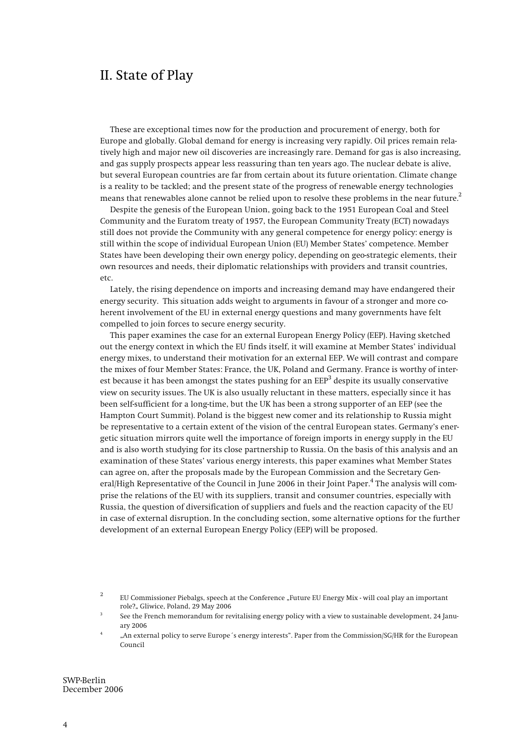# II. State of Play

**These are exceptional times now for the production and procurement of energy, both for Europe and globally. Global demand for energy is increasing very rapidly. Oil prices remain relatively high and major new oil discoveries are increasingly rare. Demand for gas is also increasing, and gas supply prospects appear less reassuring than ten years ago. The nuclear debate is alive, but several European countries are far from certain about its future orientation. Climate change is a reality to be tackled; and the present state of the progress of renewable energy technologies means that renewables alone cannot be relied upon to resolve these problems in the near future.2**

**Despite the genesis of the European Union, going back to the 1951 European Coal and Steel Community and the Euratom treaty of 1957, the European Community Treaty (ECT) nowadays still does not provide the Community with any general competence for energy policy: energy is still within the scope of individual European Union (EU) Member States' competence. Member States have been developing their own energy policy, depending on geo-strategic elements, their own resources and needs, their diplomatic relationships with providers and transit countries, etc.** 

**Lately, the rising dependence on imports and increasing demand may have endangered their energy security. This situation adds weight to arguments in favour of a stronger and more coherent involvement of the EU in external energy questions and many governments have felt compelled to join forces to secure energy security.** 

**This paper examines the case for an external European Energy Policy (EEP). Having sketched out the energy context in which the EU finds itself, it will examine at Member States' individual energy mixes, to understand their motivation for an external EEP. We will contrast and compare the mixes of four Member States: France, the UK, Poland and Germany. France is worthy of inter**est because it has been amongst the states pushing for an EEP<sup>3</sup> despite its usually conservative **view on security issues. The UK is also usually reluctant in these matters, especially since it has been self-sufficient for a long-time, but the UK has been a strong supporter of an EEP (see the Hampton Court Summit). Poland is the biggest new comer and its relationship to Russia might be representative to a certain extent of the vision of the central European states. Germany's energetic situation mirrors quite well the importance of foreign imports in energy supply in the EU and is also worth studying for its close partnership to Russia. On the basis of this analysis and an examination of these States' various energy interests, this paper examines what Member States can agree on, after the proposals made by the European Commission and the Secretary General/High Representative of the Council in June 2006 in their Joint Paper.4 The analysis will comprise the relations of the EU with its suppliers, transit and consumer countries, especially with Russia, the question of diversification of suppliers and fuels and the reaction capacity of the EU in case of external disruption. In the concluding section, some alternative options for the further development of an external European Energy Policy (EEP) will be proposed.** 

**2** EU Commissioner Piebalgs, speech at the Conference "Future EU Energy Mix - will coal play an important **role?" Gliwice, Poland, 29 May 2006 3**

 **See the French memorandum for revitalising energy policy with a view to sustainable development, 24 Janu-**

**ary 2006 4 "An external policy to serve Europe´s energy interests". Paper from the Commission/SG/HR for the European Council**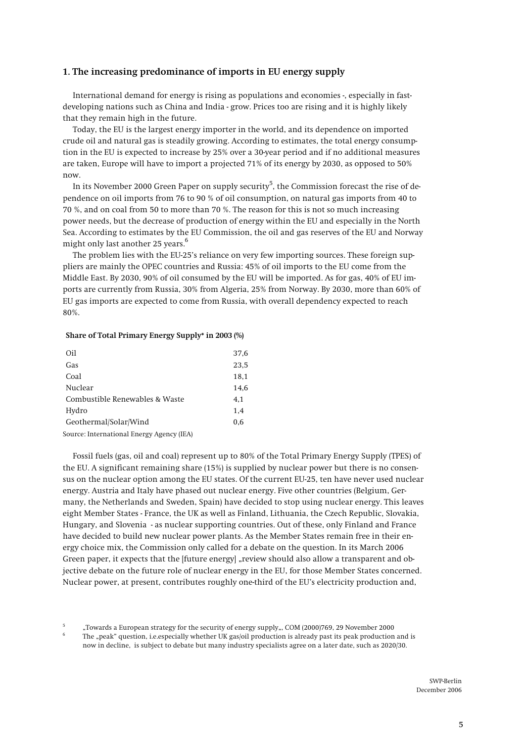## **1. The increasing predominance of imports in EU energy supply**

**International demand for energy is rising as populations and economies -, especially in fastdeveloping nations such as China and India - grow. Prices too are rising and it is highly likely that they remain high in the future.** 

**Today, the EU is the largest energy importer in the world, and its dependence on imported crude oil and natural gas is steadily growing. According to estimates, the total energy consumption in the EU is expected to increase by 25% over a 30-year period and if no additional measures are taken, Europe will have to import a projected 71% of its energy by 2030, as opposed to 50% now.**

In its November 2000 Green Paper on supply security<sup>5</sup>, the Commission forecast the rise of de**pendence on oil imports from 76 to 90 % of oil consumption, on natural gas imports from 40 to 70 %, and on coal from 50 to more than 70 %. The reason for this is not so much increasing power needs, but the decrease of production of energy within the EU and especially in the North Sea. According to estimates by the EU Commission, the oil and gas reserves of the EU and Norway might only last another 25 years.6**

**The problem lies with the EU-25's reliance on very few importing sources. These foreign suppliers are mainly the OPEC countries and Russia: 45% of oil imports to the EU come from the Middle East. By 2030, 90% of oil consumed by the EU will be imported. As for gas, 40% of EU imports are currently from Russia, 30% from Algeria, 25% from Norway. By 2030, more than 60% of EU gas imports are expected to come from Russia, with overall dependency expected to reach 80%.**

#### **Share of Total Primary Energy Supply\* in 2003 (%)**

| Oil                            | 37.6 |
|--------------------------------|------|
| Gas                            | 23.5 |
| Coal                           | 18,1 |
| Nuclear                        | 14,6 |
| Combustible Renewables & Waste | 4.1  |
| Hydro                          | 1,4  |
| Geothermal/Solar/Wind          | 0.6  |
|                                |      |

**Source: International Energy Agency (IEA)** 

**Fossil fuels (gas, oil and coal) represent up to 80% of the Total Primary Energy Supply (TPES) of the EU. A significant remaining share (15%) is supplied by nuclear power but there is no consensus on the nuclear option among the EU states. Of the current EU-25, ten have never used nuclear energy. Austria and Italy have phased out nuclear energy. Five other countries (Belgium, Germany, the Netherlands and Sweden, Spain) have decided to stop using nuclear energy. This leaves eight Member States - France, the UK as well as Finland, Lithuania, the Czech Republic, Slovakia, Hungary, and Slovenia - as nuclear supporting countries. Out of these, only Finland and France have decided to build new nuclear power plants. As the Member States remain free in their energy choice mix, the Commission only called for a debate on the question. In its March 2006**  Green paper, it expects that the [future energy] "review should also allow a transparent and ob**jective debate on the future role of nuclear energy in the EU, for those Member States concerned. Nuclear power, at present, contributes roughly one-third of the EU's electricity production and,** 

**<sup>5</sup> "Towards a European strategy for the security of energy supply", COM (2000)769, 29 November 2000 6**

**The "peak" question, i.e.especially whether UK gas/oil production is already past its peak production and is now in decline, is subject to debate but many industry specialists agree on a later date, such as 2020/30.**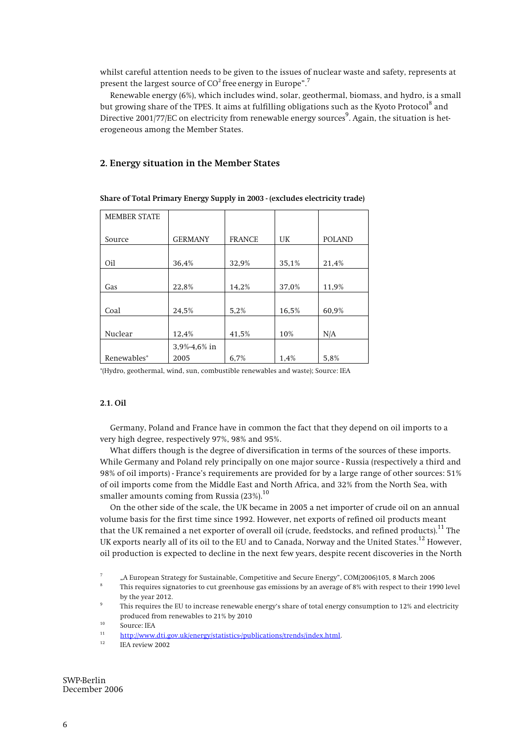**whilst careful attention needs to be given to the issues of nuclear waste and safety, represents at present the largest source of CO2 free energy in Europe".7**

**Renewable energy (6%), which includes wind, solar, geothermal, biomass, and hydro, is a small but growing share of the TPES. It aims at fulfilling obligations such as the Kyoto Protocol<sup>8</sup> and**  Directive 2001/77/EC on electricity from renewable energy sources<sup>9</sup>. Again, the situation is het**erogeneous among the Member States.** 

### **2. Energy situation in the Member States**

| <b>MEMBER STATE</b> |                 |               |       |               |
|---------------------|-----------------|---------------|-------|---------------|
| Source              | <b>GERMANY</b>  | <b>FRANCE</b> | UK    | <b>POLAND</b> |
|                     |                 |               |       |               |
| Oil                 | 36,4%           | 32,9%         | 35,1% | 21,4%         |
|                     |                 |               |       |               |
| Gas                 | 22,8%           | 14,2%         | 37,0% | 11,9%         |
|                     |                 |               |       |               |
| Coal                | 24,5%           | 5,2%          | 16,5% | 60,9%         |
|                     |                 |               |       |               |
| Nuclear             | 12,4%           | 41,5%         | 10%   | N/A           |
|                     | $3,9% -4,6%$ in |               |       |               |
| Renewables*         | 2005            | 6,7%          | 1,4%  | 5,8%          |

### **Share of Total Primary Energy Supply in 2003 - (excludes electricity trade)**

**\*(Hydro, geothermal, wind, sun, combustible renewables and waste); Source: IEA** 

#### **2.1. Oil**

**Germany, Poland and France have in common the fact that they depend on oil imports to a very high degree, respectively 97%, 98% and 95%.** 

**What differs though is the degree of diversification in terms of the sources of these imports. While Germany and Poland rely principally on one major source - Russia (respectively a third and 98% of oil imports) - France's requirements are provided for by a large range of other sources: 51% of oil imports come from the Middle East and North Africa, and 32% from the North Sea, with smaller amounts coming from Russia (23%).<sup>10</sup>**

**On the other side of the scale, the UK became in 2005 a net importer of crude oil on an annual volume basis for the first time since 1992. However, net exports of refined oil products meant that the UK remained a net exporter of overall oil (crude, feedstocks, and refined products).11 The UK exports nearly all of its oil to the EU and to Canada, Norway and the United States.12 However, oil production is expected to decline in the next few years, despite recent discoveries in the North** 

**<sup>7</sup> "A European Strategy for Sustainable, Competitive and Secure Energy", COM(2006)105, 8 March 2006 8**

**This requires signatories to cut greenhouse gas emissions by an average of 8% with respect to their 1990 level by the year 2012. 9**

**This requires the EU to increase renewable energy's share of total energy consumption to 12% and electricity**  produced from renewables to 21% by 2010<br><sup>10</sup> Source: IEA

**<sup>11</sup> http://www.dti.gov.uk/energy/statistics-/publications/trends/index.html.**

**<sup>12</sup> IEA review 2002**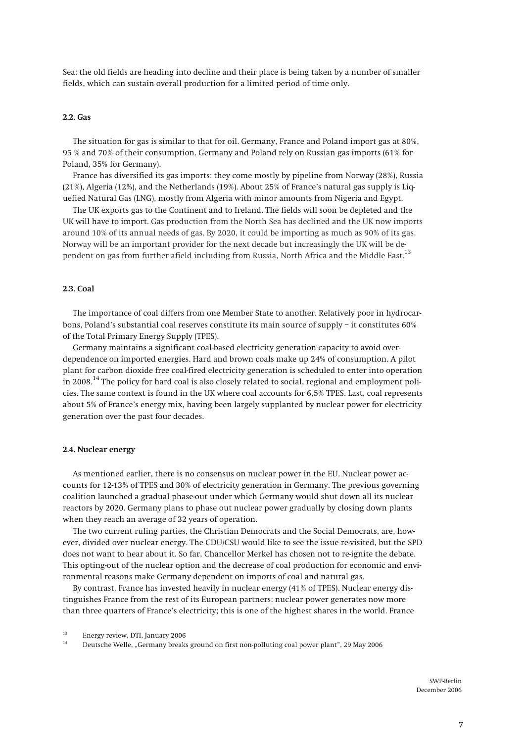**Sea: the old fields are heading into decline and their place is being taken by a number of smaller fields, which can sustain overall production for a limited period of time only.** 

#### **2.2. Gas**

**The situation for gas is similar to that for oil. Germany, France and Poland import gas at 80%, 95 % and 70% of their consumption. Germany and Poland rely on Russian gas imports (61% for Poland, 35% for Germany).** 

**France has diversified its gas imports: they come mostly by pipeline from Norway (28%), Russia (21%), Algeria (12%), and the Netherlands (19%). About 25% of France's natural gas supply is Liquefied Natural Gas (LNG), mostly from Algeria with minor amounts from Nigeria and Egypt.** 

**The UK exports gas to the Continent and to Ireland. The fields will soon be depleted and the UK will have to import. Gas production from the North Sea has declined and the UK now imports around 10% of its annual needs of gas. By 2020, it could be importing as much as 90% of its gas. Norway will be an important provider for the next decade but increasingly the UK will be dependent on gas from further afield including from Russia, North Africa and the Middle East.13**

#### **2.3. Coal**

**The importance of coal differs from one Member State to another. Relatively poor in hydrocarbons, Poland's substantial coal reserves constitute its main source of supply – it constitutes 60% of the Total Primary Energy Supply (TPES).** 

**Germany maintains a significant coal-based electricity generation capacity to avoid overdependence on imported energies. Hard and brown coals make up 24% of consumption. A pilot plant for carbon dioxide free coal-fired electricity generation is scheduled to enter into operation in 2008.14 The policy for hard coal is also closely related to social, regional and employment policies. The same context is found in the UK where coal accounts for 6,5% TPES. Last, coal represents about 5% of France's energy mix, having been largely supplanted by nuclear power for electricity generation over the past four decades.** 

#### **2.4. Nuclear energy**

**As mentioned earlier, there is no consensus on nuclear power in the EU. Nuclear power accounts for 12-13% of TPES and 30% of electricity generation in Germany. The previous governing coalition launched a gradual phase-out under which Germany would shut down all its nuclear reactors by 2020. Germany plans to phase out nuclear power gradually by closing down plants when they reach an average of 32 years of operation.** 

**The two current ruling parties, the Christian Democrats and the Social Democrats, are, however, divided over nuclear energy. The CDU/CSU would like to see the issue re-visited, but the SPD does not want to hear about it. So far, Chancellor Merkel has chosen not to re-ignite the debate. This opting-out of the nuclear option and the decrease of coal production for economic and environmental reasons make Germany dependent on imports of coal and natural gas.**

**By contrast, France has invested heavily in nuclear energy (41% of TPES). Nuclear energy distinguishes France from the rest of its European partners: nuclear power generates now more than three quarters of France's electricity; this is one of the highest shares in the world. France** 

**<sup>13</sup> Energy review, DTI, January 2006** 

**<sup>14</sup> Deutsche Welle, "Germany breaks ground on first non-polluting coal power plant", 29 May 2006**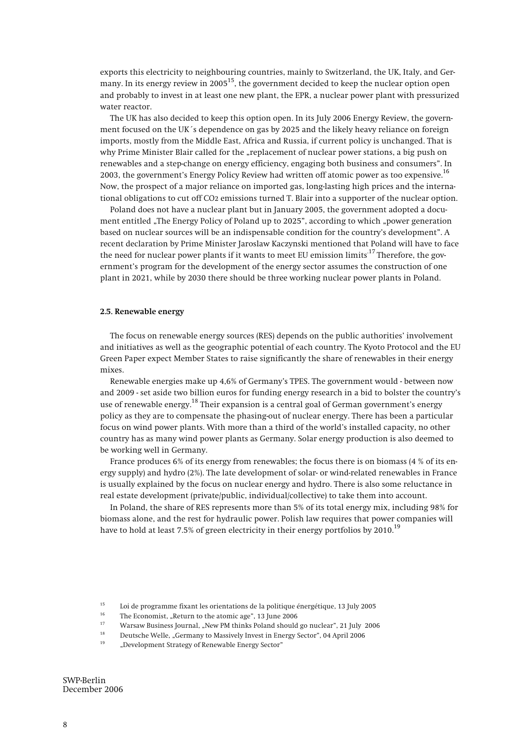**exports this electricity to neighbouring countries, mainly to Switzerland, the UK, Italy, and Germany. In its energy review in 200515, the government decided to keep the nuclear option open and probably to invest in at least one new plant, the EPR, a nuclear power plant with pressurized water reactor.** 

**The UK has also decided to keep this option open. In its July 2006 Energy Review, the government focused on the UK´s dependence on gas by 2025 and the likely heavy reliance on foreign imports, mostly from the Middle East, Africa and Russia, if current policy is unchanged. That is**  why Prime Minister Blair called for the "replacement of nuclear power stations, a big push on **renewables and a step-change on energy efficiency, engaging both business and consumers". In 2003, the government's Energy Policy Review had written off atomic power as too expensive.16 Now, the prospect of a major reliance on imported gas, long-lasting high prices and the international obligations to cut off CO2 emissions turned T. Blair into a supporter of the nuclear option.** 

**Poland does not have a nuclear plant but in January 2005, the government adopted a docu**ment entitled "The Energy Policy of Poland up to 2025", according to which "power generation **based on nuclear sources will be an indispensable condition for the country's development". A recent declaration by Prime Minister Jaroslaw Kaczynski mentioned that Poland will have to face the need for nuclear power plants if it wants to meet EU emission limits.17 Therefore, the government's program for the development of the energy sector assumes the construction of one plant in 2021, while by 2030 there should be three working nuclear power plants in Poland.** 

#### **2.5. Renewable energy**

**The focus on renewable energy sources (RES) depends on the public authorities' involvement and initiatives as well as the geographic potential of each country. The Kyoto Protocol and the EU Green Paper expect Member States to raise significantly the share of renewables in their energy mixes.**

**Renewable energies make up 4,6% of Germany's TPES. The government would - between now and 2009 - set aside two billion euros for funding energy research in a bid to bolster the country's use of renewable energy.18 Their expansion is a central goal of German government's energy policy as they are to compensate the phasing-out of nuclear energy. There has been a particular focus on wind power plants. With more than a third of the world's installed capacity, no other country has as many wind power plants as Germany. Solar energy production is also deemed to be working well in Germany.** 

**France produces 6% of its energy from renewables; the focus there is on biomass (4 % of its energy supply) and hydro (2%). The late development of solar- or wind-related renewables in France is usually explained by the focus on nuclear energy and hydro. There is also some reluctance in real estate development (private/public, individual/collective) to take them into account.** 

**In Poland, the share of RES represents more than 5% of its total energy mix, including 98% for biomass alone, and the rest for hydraulic power. Polish law requires that power companies will have to hold at least 7.5% of green electricity in their energy portfolios by 2010.19**

<sup>&</sup>lt;sup>15</sup> Loi de programme fixant les orientations de la politique énergétique, 13 July 2005<br><sup>16</sup> The Economist, "Return to the atomic age", 13 June 2006<br><sup>17</sup> Warsaw Pusiness Journal – Now PM thinks Poland should go pusher", 21

<sup>&</sup>lt;sup>17</sup> Warsaw Business Journal, "New PM thinks Poland should go nuclear", 21 July 2006<br><sup>18</sup> Deutsche Welle, "Germany to Massively Invest in Energy Sector", 04 April 2006<br><sup>19</sup> Development Strategy of Renewable Energy Sector"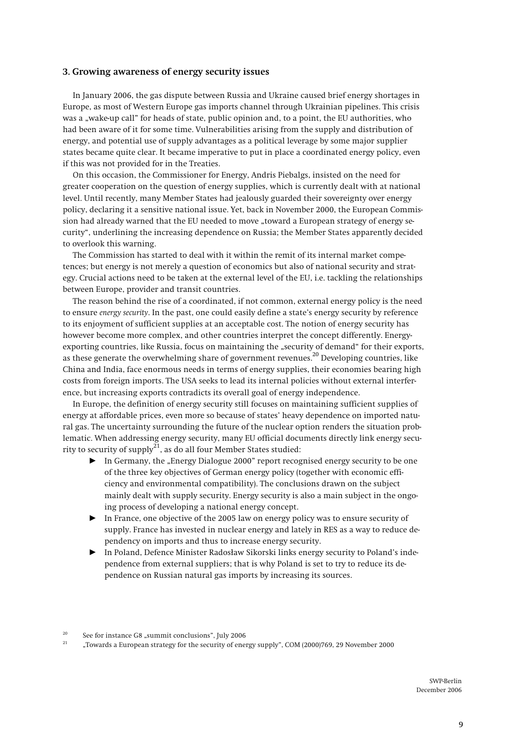#### **3. Growing awareness of energy security issues**

**In January 2006, the gas dispute between Russia and Ukraine caused brief energy shortages in Europe, as most of Western Europe gas imports channel through Ukrainian pipelines. This crisis**  was a "wake-up call" for heads of state, public opinion and, to a point, the EU authorities, who **had been aware of it for some time. Vulnerabilities arising from the supply and distribution of energy, and potential use of supply advantages as a political leverage by some major supplier states became quite clear. It became imperative to put in place a coordinated energy policy, even if this was not provided for in the Treaties.** 

**On this occasion, the Commissioner for Energy, Andris Piebalgs, insisted on the need for greater cooperation on the question of energy supplies, which is currently dealt with at national level. Until recently, many Member States had jealously guarded their sovereignty over energy policy, declaring it a sensitive national issue. Yet, back in November 2000, the European Commis**sion had already warned that the EU needed to move "toward a European strategy of energy se**curity", underlining the increasing dependence on Russia; the Member States apparently decided to overlook this warning.** 

**The Commission has started to deal with it within the remit of its internal market competences; but energy is not merely a question of economics but also of national security and strategy. Crucial actions need to be taken at the external level of the EU, i.e. tackling the relationships between Europe, provider and transit countries.** 

**The reason behind the rise of a coordinated, if not common, external energy policy is the need to ensure** *energy security***. In the past, one could easily define a state's energy security by reference to its enjoyment of sufficient supplies at an acceptable cost. The notion of energy security has however become more complex, and other countries interpret the concept differently. Energy**exporting countries, like Russia, focus on maintaining the "security of demand" for their exports, **as these generate the overwhelming share of government revenues.20 Developing countries, like China and India, face enormous needs in terms of energy supplies, their economies bearing high costs from foreign imports. The USA seeks to lead its internal policies without external interference, but increasing exports contradicts its overall goal of energy independence.** 

**In Europe, the definition of energy security still focuses on maintaining sufficient supplies of energy at affordable prices, even more so because of states' heavy dependence on imported natural gas. The uncertainty surrounding the future of the nuclear option renders the situation problematic. When addressing energy security, many EU official documents directly link energy security to security of supply21, as do all four Member States studied:** 

- In Germany, the "Energy Dialogue 2000" report recognised energy security to be one **of the three key objectives of German energy policy (together with economic efficiency and environmental compatibility). The conclusions drawn on the subject mainly dealt with supply security. Energy security is also a main subject in the ongoing process of developing a national energy concept.**
- $\blacktriangleright$  In France, one objective of the 2005 law on energy policy was to ensure security of **supply. France has invested in nuclear energy and lately in RES as a way to reduce dependency on imports and thus to increase energy security.**
- Ź **In Poland, Defence Minister Radosåaw Sikorski links energy security to Poland's independence from external suppliers; that is why Poland is set to try to reduce its dependence on Russian natural gas imports by increasing its sources.**

<sup>&</sup>lt;sup>20</sup> See for instance G8 "summit conclusions", July 2006<br><sup>21</sup> Towards a European strategy for the sequrity of one

**<sup>21 &</sup>quot;Towards a European strategy for the security of energy supply", COM (2000)769, 29 November 2000**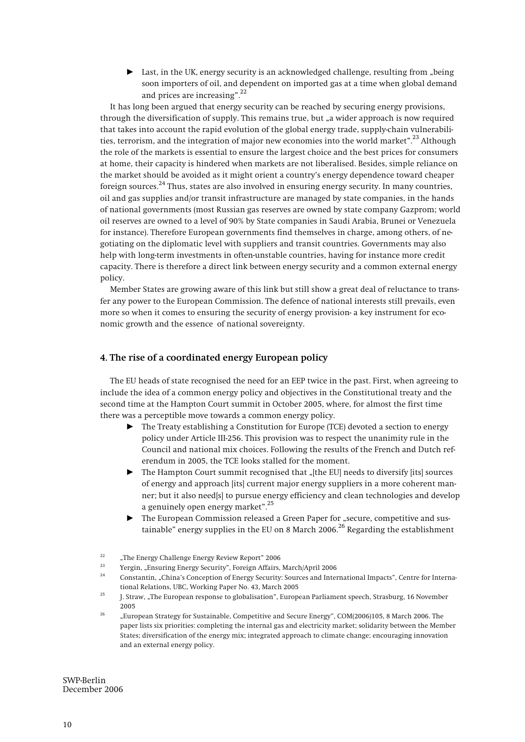$\blacktriangleright$  Last, in the UK, energy security is an acknowledged challenge, resulting from "being **soon importers of oil, and dependent on imported gas at a time when global demand and prices are increasing".22**

**It has long been argued that energy security can be reached by securing energy provisions,**  through the diversification of supply. This remains true, but "a wider approach is now required **that takes into account the rapid evolution of the global energy trade, supply-chain vulnerabilities, terrorism, and the integration of major new economies into the world market".23 Although the role of the markets is essential to ensure the largest choice and the best prices for consumers at home, their capacity is hindered when markets are not liberalised. Besides, simple reliance on the market should be avoided as it might orient a country's energy dependence toward cheaper foreign sources.24 Thus, states are also involved in ensuring energy security. In many countries, oil and gas supplies and/or transit infrastructure are managed by state companies, in the hands of national governments (most Russian gas reserves are owned by state company Gazprom; world oil reserves are owned to a level of 90% by State companies in Saudi Arabia, Brunei or Venezuela for instance). Therefore European governments find themselves in charge, among others, of negotiating on the diplomatic level with suppliers and transit countries. Governments may also help with long-term investments in often-unstable countries, having for instance more credit capacity. There is therefore a direct link between energy security and a common external energy policy.**

**Member States are growing aware of this link but still show a great deal of reluctance to transfer any power to the European Commission. The defence of national interests still prevails, even more so when it comes to ensuring the security of energy provision- a key instrument for economic growth and the essence of national sovereignty.** 

### **4. The rise of a coordinated energy European policy**

**The EU heads of state recognised the need for an EEP twice in the past. First, when agreeing to include the idea of a common energy policy and objectives in the Constitutional treaty and the second time at the Hampton Court summit in October 2005, where, for almost the first time there was a perceptible move towards a common energy policy.** 

- ▶ The Treaty establishing a Constitution for Europe (TCE) devoted a section to energy **policy under Article III-256. This provision was to respect the unanimity rule in the Council and national mix choices. Following the results of the French and Dutch referendum in 2005, the TCE looks stalled for the moment.**
- ▶ The Hampton Court summit recognised that "[the EU] needs to diversify [its] sources **of energy and approach [its] current major energy suppliers in a more coherent manner; but it also need[s] to pursue energy efficiency and clean technologies and develop a genuinely open energy market".25**
- $\blacktriangleright$  The European Commission released a Green Paper for "secure, competitive and sus**tainable" energy supplies in the EU on 8 March 2006.26 Regarding the establishment**

- 
- <sup>23</sup> Yergin, "Ensuring Energy Security", Foreign Affairs, March/April 2006<br><sup>24</sup> Constantin, "China's Conception of Energy Security: Sources and International Impacts", Centre for Interna-
- **tional Relations, UBC, Working Paper No. 43, March 2005 25 J. Straw, "The European response to globalisation", European Parliament speech, Strasburg, 16 November 2005**
- **26 "European Strategy for Sustainable, Competitive and Secure Energy", COM(2006)105, 8 March 2006. The paper lists six priorities: completing the internal gas and electricity market; solidarity between the Member States; diversification of the energy mix; integrated approach to climate change; encouraging innovation and an external energy policy.**

**<sup>22 &</sup>quot;The Energy Challenge Energy Review Report" 2006**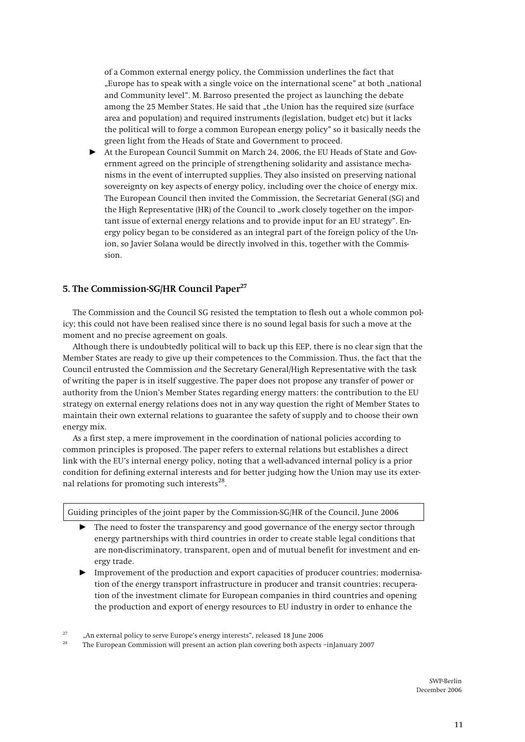**of a Common external energy policy, the Commission underlines the fact that "Europe has to speak with a single voice on the international scene" at both "national and Community level". M. Barroso presented the project as launching the debate**  among the 25 Member States. He said that "the Union has the required size (surface **area and population) and required instruments (legislation, budget etc) but it lacks the political will to forge a common European energy policy" so it basically needs the green light from the Heads of State and Government to proceed.** 

At the European Council Summit on March 24, 2006, the EU Heads of State and Gov**ernment agreed on the principle of strengthening solidarity and assistance mechanisms in the event of interrupted supplies. They also insisted on preserving national sovereignty on key aspects of energy policy, including over the choice of energy mix. The European Council then invited the Commission, the Secretariat General (SG) and**  the High Representative (HR) of the Council to "work closely together on the impor**tant issue of external energy relations and to provide input for an EU strategy". Energy policy began to be considered as an integral part of the foreign policy of the Union, so Javier Solana would be directly involved in this, together with the Commission.**

# **5. The Commission-SG/HR Council Paper<sup>27</sup>**

**The Commission and the Council SG resisted the temptation to flesh out a whole common policy; this could not have been realised since there is no sound legal basis for such a move at the moment and no precise agreement on goals.** 

**Although there is undoubtedly political will to back up this EEP, there is no clear sign that the Member States are ready to give up their competences to the Commission. Thus, the fact that the Council entrusted the Commission** *and* **the Secretary General/High Representative with the task of writing the paper is in itself suggestive. The paper does not propose any transfer of power or authority from the Union's Member States regarding energy matters: the contribution to the EU strategy on external energy relations does not in any way question the right of Member States to maintain their own external relations to guarantee the safety of supply and to choose their own energy mix.** 

**As a first step, a mere improvement in the coordination of national policies according to common principles is proposed. The paper refers to external relations but establishes a direct link with the EU's internal energy policy, noting that a well-advanced internal policy is a prior condition for defining external interests and for better judging how the Union may use its external relations for promoting such interests28.**

**Guiding principles of the joint paper by the Commission-SG/HR of the Council, June 2006** 

- ▶ The need to foster the transparency and good governance of the energy sector through **energy partnerships with third countries in order to create stable legal conditions that are non-discriminatory, transparent, open and of mutual benefit for investment and energy trade.**
- Ź **Improvement of the production and export capacities of producer countries; modernisation of the energy transport infrastructure in producer and transit countries; recuperation of the investment climate for European companies in third countries and opening the production and export of energy resources to EU industry in order to enhance the**

**<sup>27 &</sup>quot;An external policy to serve Europe's energy interests", released 18 June 2006** 

**<sup>28</sup> The European Commission will present an action plan covering both aspects –inJanuary 2007**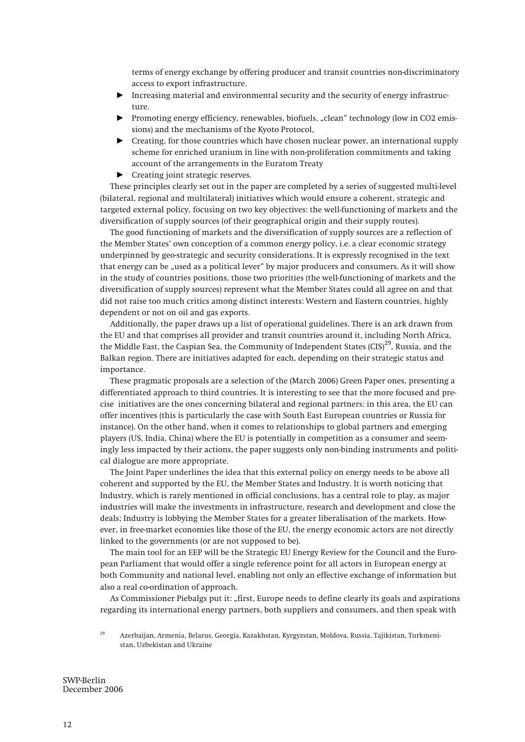**terms of energy exchange by offering producer and transit countries non-discriminatory access to export infrastructure.** 

- Ź **Increasing material and environmental security and the security of energy infrastructure.**
- **Promoting energy efficiency, renewables, biofuels, "clean" technology (low in CO2 emissions) and the mechanisms of the Kyoto Protocol,**
- ▶ Creating, for those countries which have chosen nuclear power, an international supply **scheme for enriched uranium in line with non-proliferation commitments and taking account of the arrangements in the Euratom Treaty**
- **EXECUTE:** Creating joint strategic reserves.

**These principles clearly set out in the paper are completed by a series of suggested multi-level (bilateral, regional and multilateral) initiatives which would ensure a coherent, strategic and targeted external policy, focusing on two key objectives: the well-functioning of markets and the diversification of supply sources (of their geographical origin and their supply routes).** 

**The good functioning of markets and the diversification of supply sources are a reflection of the Member States' own conception of a common energy policy, i.e. a clear economic strategy underpinned by geo-strategic and security considerations. It is expressly recognised in the text that energy can be "used as a political lever" by major producers and consumers. As it will show in the study of countries positions, those two priorities (the well-functioning of markets and the diversification of supply sources) represent what the Member States could all agree on and that did not raise too much critics among distinct interests: Western and Eastern countries, highly dependent or not on oil and gas exports.** 

**Additionally, the paper draws up a list of operational guidelines. There is an ark drawn from the EU and that comprises all provider and transit countries around it, including North Africa, the Middle East, the Caspian Sea, the Community of Independent States (CIS)29, Russia, and the Balkan region. There are initiatives adapted for each, depending on their strategic status and importance.**

**These pragmatic proposals are a selection of the (March 2006) Green Paper ones, presenting a differentiated approach to third countries. It is interesting to see that the more focused and precise initiatives are the ones concerning bilateral and regional partners: in this area, the EU can offer incentives (this is particularly the case with South East European countries or Russia for instance). On the other hand, when it comes to relationships to global partners and emerging players (US, India, China) where the EU is potentially in competition as a consumer and seemingly less impacted by their actions, the paper suggests only non-binding instruments and political dialogue are more appropriate.** 

**The Joint Paper underlines the idea that this external policy on energy needs to be above all coherent and supported by the EU, the Member States and Industry. It is worth noticing that Industry, which is rarely mentioned in official conclusions, has a central role to play, as major industries will make the investments in infrastructure, research and development and close the deals; Industry is lobbying the Member States for a greater liberalisation of the markets. However, in free-market economies like those of the EU, the energy economic actors are not directly linked to the governments (or are not supposed to be).** 

**The main tool for an EEP will be the Strategic EU Energy Review for the Council and the European Parliament that would offer a single reference point for all actors in European energy at both Community and national level, enabling not only an effective exchange of information but also a real co-ordination of approach.** 

**As Commissioner Piebalgs put it: "first, Europe needs to define clearly its goals and aspirations regarding its international energy partners, both suppliers and consumers, and then speak with** 

**<sup>29</sup> Azerbaijan, Armenia, Belarus, Georgia, Kazakhstan, Kyrgyzstan, Moldova, Russia, Tajikistan, Turkmenistan, Uzbekistan and Ukraine**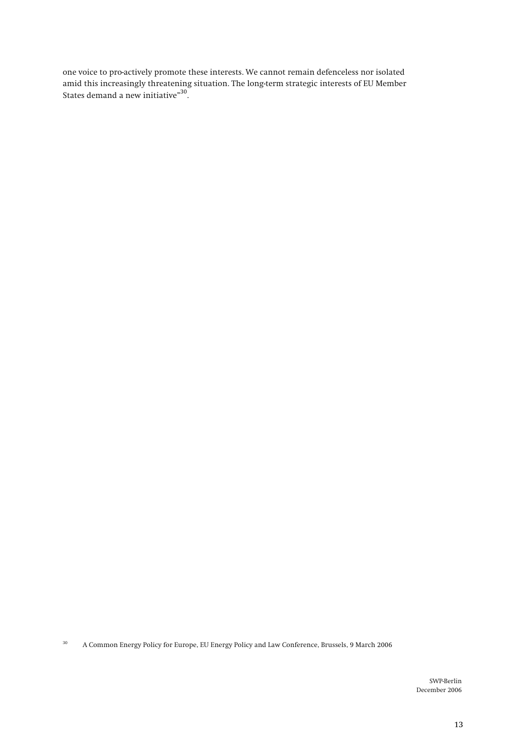**one voice to pro-actively promote these interests. We cannot remain defenceless nor isolated amid this increasingly threatening situation. The long-term strategic interests of EU Member States demand a new initiative"30.**

**30 A Common Energy Policy for Europe, EU Energy Policy and Law Conference, Brussels, 9 March 2006**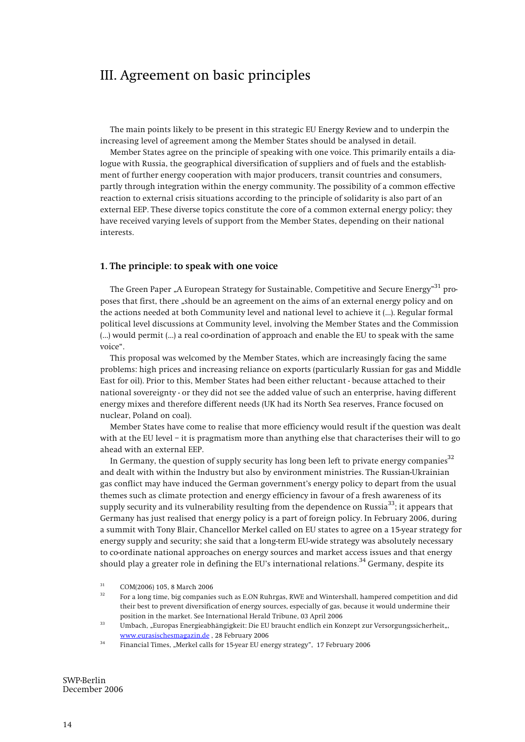# III. Agreement on basic principles

**The main points likely to be present in this strategic EU Energy Review and to underpin the increasing level of agreement among the Member States should be analysed in detail.** 

**Member States agree on the principle of speaking with one voice. This primarily entails a dialogue with Russia, the geographical diversification of suppliers and of fuels and the establishment of further energy cooperation with major producers, transit countries and consumers, partly through integration within the energy community. The possibility of a common effective reaction to external crisis situations according to the principle of solidarity is also part of an external EEP. These diverse topics constitute the core of a common external energy policy; they have received varying levels of support from the Member States, depending on their national interests.**

#### **1. The principle: to speak with one voice**

The Green Paper "A European Strategy for Sustainable, Competitive and Secure Energy"<sup>31</sup> pro<sup>.</sup> **poses that first, there "should be an agreement on the aims of an external energy policy and on the actions needed at both Community level and national level to achieve it (…). Regular formal political level discussions at Community level, involving the Member States and the Commission (…) would permit (…) a real co-ordination of approach and enable the EU to speak with the same voice".**

**This proposal was welcomed by the Member States, which are increasingly facing the same problems: high prices and increasing reliance on exports (particularly Russian for gas and Middle East for oil). Prior to this, Member States had been either reluctant - because attached to their national sovereignty - or they did not see the added value of such an enterprise, having different energy mixes and therefore different needs (UK had its North Sea reserves, France focused on nuclear, Poland on coal).** 

**Member States have come to realise that more efficiency would result if the question was dealt with at the EU level – it is pragmatism more than anything else that characterises their will to go ahead with an external EEP.** 

In Germany, the question of supply security has long been left to private energy companies<sup>32</sup> **and dealt with within the Industry but also by environment ministries. The Russian-Ukrainian gas conflict may have induced the German government's energy policy to depart from the usual themes such as climate protection and energy efficiency in favour of a fresh awareness of its supply security and its vulnerability resulting from the dependence on Russia33; it appears that Germany has just realised that energy policy is a part of foreign policy. In February 2006, during a summit with Tony Blair, Chancellor Merkel called on EU states to agree on a 15-year strategy for energy supply and security; she said that a long-term EU-wide strategy was absolutely necessary to co-ordinate national approaches on energy sources and market access issues and that energy should play a greater role in defining the EU's international relations.34 Germany, despite its** 

**31 COM(2006) 105, 8 March 2006** 

- **32 For a long time, big companies such as E.ON Ruhrgas, RWE and Wintershall, hampered competition and did their best to prevent diversification of energy sources, especially of gas, because it would undermine their**
- position in the market. See International Herald Tribune, 03 April 2006<br><sup>33</sup> Umbach, "Europas Energieabhängigkeit: Die EU braucht endlich ein Konzept zur Versorgungssicherheit", **www.eurasischesmagazin.de , 28 February 2006**
- **34 Financial Times, "Merkel calls for 15-year EU energy strategy", 17 February 2006**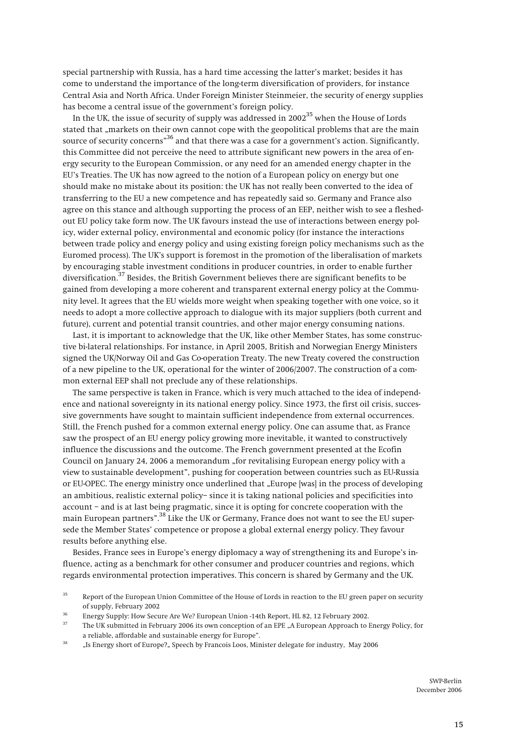**special partnership with Russia, has a hard time accessing the latter's market; besides it has come to understand the importance of the long-term diversification of providers, for instance Central Asia and North Africa. Under Foreign Minister Steinmeier, the security of energy supplies has become a central issue of the government's foreign policy.** 

In the UK, the issue of security of supply was addressed in 2002<sup>35</sup> when the House of Lords **stated that "markets on their own cannot cope with the geopolitical problems that are the main source of security concerns"36 and that there was a case for a government's action. Significantly, this Committee did not perceive the need to attribute significant new powers in the area of energy security to the European Commission, or any need for an amended energy chapter in the EU's Treaties. The UK has now agreed to the notion of a European policy on energy but one should make no mistake about its position: the UK has not really been converted to the idea of transferring to the EU a new competence and has repeatedly said so. Germany and France also agree on this stance and although supporting the process of an EEP, neither wish to see a fleshedout EU policy take form now. The UK favours instead the use of interactions between energy policy, wider external policy, environmental and economic policy (for instance the interactions between trade policy and energy policy and using existing foreign policy mechanisms such as the Euromed process). The UK's support is foremost in the promotion of the liberalisation of markets by encouraging stable investment conditions in producer countries, in order to enable further diversification.37 Besides, the British Government believes there are significant benefits to be gained from developing a more coherent and transparent external energy policy at the Community level. It agrees that the EU wields more weight when speaking together with one voice, so it needs to adopt a more collective approach to dialogue with its major suppliers (both current and future), current and potential transit countries, and other major energy consuming nations.**

**Last, it is important to acknowledge that the UK, like other Member States, has some constructive bi-lateral relationships. For instance, in April 2005, British and Norwegian Energy Ministers signed the UK/Norway Oil and Gas Co-operation Treaty. The new Treaty covered the construction of a new pipeline to the UK, operational for the winter of 2006/2007. The construction of a common external EEP shall not preclude any of these relationships.** 

**The same perspective is taken in France, which is very much attached to the idea of independence and national sovereignty in its national energy policy. Since 1973, the first oil crisis, successive governments have sought to maintain sufficient independence from external occurrences. Still, the French pushed for a common external energy policy. One can assume that, as France saw the prospect of an EU energy policy growing more inevitable, it wanted to constructively influence the discussions and the outcome. The French government presented at the Ecofin**  Council on January 24, 2006 a memorandum "for revitalising European energy policy with a **view to sustainable development", pushing for cooperation between countries such as EU-Russia**  or EU-OPEC. The energy ministry once underlined that "Europe [was] in the process of developing **an ambitious, realistic external policy– since it is taking national policies and specificities into account – and is at last being pragmatic, since it is opting for concrete cooperation with the main European partners".38 Like the UK or Germany, France does not want to see the EU supersede the Member States' competence or propose a global external energy policy. They favour results before anything else.** 

**Besides, France sees in Europe's energy diplomacy a way of strengthening its and Europe's influence, acting as a benchmark for other consumer and producer countries and regions, which regards environmental protection imperatives. This concern is shared by Germany and the UK.** 

**<sup>35</sup> Report of the European Union Committee of the House of Lords in reaction to the EU green paper on security**  of supply, February 2002<br><sup>36</sup> Energy Supply: How Secure Are We? European Union -14th Report, HL 82, 12 February 2002.<br><sup>37</sup> The UK submitted in February 2006 its own conception of an EPE "A European Approach to Energy Polic

a reliable, affordable and sustainable energy for Europe".<br><sup>38</sup> "Is Energy short of Europe?" Speech by Francois Loos, Minister delegate for industry, May 2006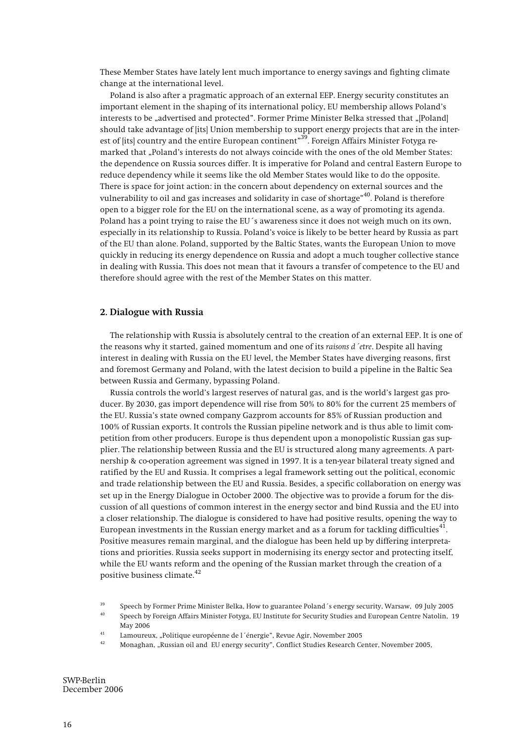**These Member States have lately lent much importance to energy savings and fighting climate change at the international level.** 

**Poland is also after a pragmatic approach of an external EEP. Energy security constitutes an important element in the shaping of its international policy, EU membership allows Poland's**  interests to be "advertised and protected". Former Prime Minister Belka stressed that "[Poland] **should take advantage of [its] Union membership to support energy projects that are in the interest of [its] country and the entire European continent"39. Foreign Affairs Minister Fotyga remarked that "Poland's interests do not always coincide with the ones of the old Member States: the dependence on Russia sources differ. It is imperative for Poland and central Eastern Europe to reduce dependency while it seems like the old Member States would like to do the opposite. There is space for joint action: in the concern about dependency on external sources and the vulnerability to oil and gas increases and solidarity in case of shortage"40. Poland is therefore open to a bigger role for the EU on the international scene, as a way of promoting its agenda. Poland has a point trying to raise the EU´s awareness since it does not weigh much on its own, especially in its relationship to Russia. Poland's voice is likely to be better heard by Russia as part of the EU than alone. Poland, supported by the Baltic States, wants the European Union to move quickly in reducing its energy dependence on Russia and adopt a much tougher collective stance in dealing with Russia. This does not mean that it favours a transfer of competence to the EU and therefore should agree with the rest of the Member States on this matter.** 

#### **2. Dialogue with Russia**

**The relationship with Russia is absolutely central to the creation of an external EEP. It is one of the reasons why it started, gained momentum and one of its** *raisons d´etre***. Despite all having interest in dealing with Russia on the EU level, the Member States have diverging reasons, first and foremost Germany and Poland, with the latest decision to build a pipeline in the Baltic Sea between Russia and Germany, bypassing Poland.** 

**Russia controls the world's largest reserves of natural gas, and is the world's largest gas producer. By 2030, gas import dependence will rise from 50% to 80% for the current 25 members of the EU. Russia's state owned company Gazprom accounts for 85% of Russian production and 100% of Russian exports. It controls the Russian pipeline network and is thus able to limit competition from other producers. Europe is thus dependent upon a monopolistic Russian gas supplier. The relationship between Russia and the EU is structured along many agreements. A partnership & co-operation agreement was signed in 1997. It is a ten-year bilateral treaty signed and ratified by the EU and Russia. It comprises a legal framework setting out the political, economic and trade relationship between the EU and Russia. Besides, a specific collaboration on energy was set up in the Energy Dialogue in October 2000. The objective was to provide a forum for the discussion of all questions of common interest in the energy sector and bind Russia and the EU into a closer relationship. The dialogue is considered to have had positive results, opening the way to European investments in the Russian energy market and as a forum for tackling difficulties41. Positive measures remain marginal, and the dialogue has been held up by differing interpretations and priorities. Russia seeks support in modernising its energy sector and protecting itself, while the EU wants reform and the opening of the Russian market through the creation of a positive business climate.<sup>42</sup>**

- **41 Lamoureux, "Politique européenne de l´énergie", Revue Agir, November 2005**
- **42 Monaghan, "Russian oil and EU energy security", Conflict Studies Research Center, November 2005,**

**<sup>39</sup> Speech by Former Prime Minister Belka, How to guarantee Poland´s energy security, Warsaw, 09 July 2005** 

**<sup>40</sup> Speech by Foreign Affairs Minister Fotyga, EU Institute for Security Studies and European Centre Natolin, 19 May 2006**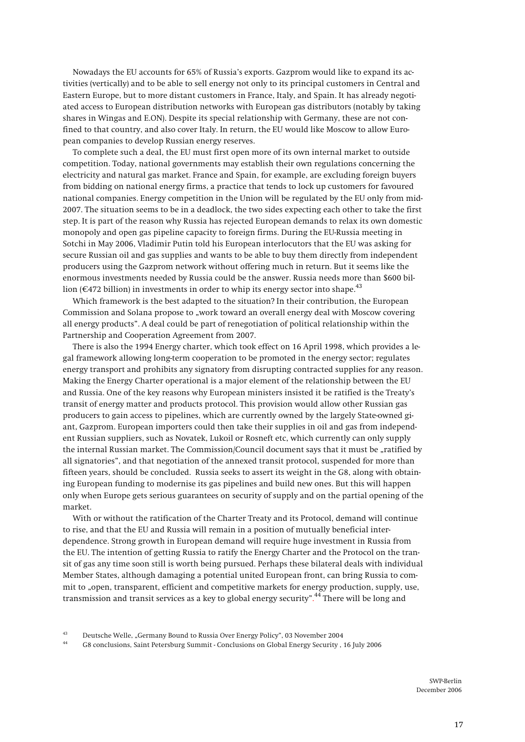**Nowadays the EU accounts for 65% of Russia's exports. Gazprom would like to expand its activities (vertically) and to be able to sell energy not only to its principal customers in Central and Eastern Europe, but to more distant customers in France, Italy, and Spain. It has already negotiated access to European distribution networks with European gas distributors (notably by taking shares in Wingas and E.ON). Despite its special relationship with Germany, these are not confined to that country, and also cover Italy. In return, the EU would like Moscow to allow European companies to develop Russian energy reserves.** 

**To complete such a deal, the EU must first open more of its own internal market to outside competition. Today, national governments may establish their own regulations concerning the electricity and natural gas market. France and Spain, for example, are excluding foreign buyers from bidding on national energy firms, a practice that tends to lock up customers for favoured national companies. Energy competition in the Union will be regulated by the EU only from mid-2007. The situation seems to be in a deadlock, the two sides expecting each other to take the first step. It is part of the reason why Russia has rejected European demands to relax its own domestic monopoly and open gas pipeline capacity to foreign firms. During the EU-Russia meeting in Sotchi in May 2006, Vladimir Putin told his European interlocutors that the EU was asking for secure Russian oil and gas supplies and wants to be able to buy them directly from independent producers using the Gazprom network without offering much in return. But it seems like the enormous investments needed by Russia could be the answer. Russia needs more than \$600 bil**lion ( $\epsilon$ 472 billion) in investments in order to whip its energy sector into shape.<sup>43</sup>

**Which framework is the best adapted to the situation? In their contribution, the European**  Commission and Solana propose to "work toward an overall energy deal with Moscow covering **all energy products". A deal could be part of renegotiation of political relationship within the Partnership and Cooperation Agreement from 2007.** 

**There is also the 1994 Energy charter, which took effect on 16 April 1998, which provides a legal framework allowing long-term cooperation to be promoted in the energy sector; regulates energy transport and prohibits any signatory from disrupting contracted supplies for any reason. Making the Energy Charter operational is a major element of the relationship between the EU and Russia. One of the key reasons why European ministers insisted it be ratified is the Treaty's transit of energy matter and products protocol. This provision would allow other Russian gas producers to gain access to pipelines, which are currently owned by the largely State-owned giant, Gazprom. European importers could then take their supplies in oil and gas from independent Russian suppliers, such as Novatek, Lukoil or Rosneft etc, which currently can only supply the internal Russian market. The Commission/Council document says that it must be "ratified by all signatories", and that negotiation of the annexed transit protocol, suspended for more than fifteen years, should be concluded. Russia seeks to assert its weight in the G8, along with obtaining European funding to modernise its gas pipelines and build new ones. But this will happen only when Europe gets serious guarantees on security of supply and on the partial opening of the market.**

**With or without the ratification of the Charter Treaty and its Protocol, demand will continue to rise, and that the EU and Russia will remain in a position of mutually beneficial interdependence. Strong growth in European demand will require huge investment in Russia from the EU. The intention of getting Russia to ratify the Energy Charter and the Protocol on the transit of gas any time soon still is worth being pursued. Perhaps these bilateral deals with individual Member States, although damaging a potential united European front, can bring Russia to commit to "open, transparent, efficient and competitive markets for energy production, supply, use, transmission and transit services as a key to global energy security". 44 There will be long and** 

**44 G8 conclusions, Saint Petersburg Summit - Conclusions on Global Energy Security , 16 July 2006** 

**<sup>43</sup> Deutsche Welle, "Germany Bound to Russia Over Energy Policy", 03 November 2004**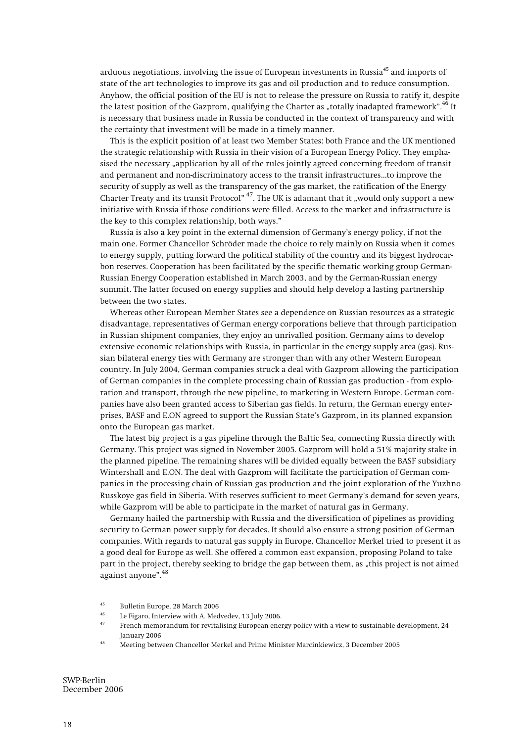**arduous negotiations, involving the issue of European investments in Russia45 and imports of state of the art technologies to improve its gas and oil production and to reduce consumption. Anyhow, the official position of the EU is not to release the pressure on Russia to ratify it, despite**  the latest position of the Gazprom, qualifying the Charter as "totally inadapted framework".<sup>46</sup> It **is necessary that business made in Russia be conducted in the context of transparency and with the certainty that investment will be made in a timely manner.** 

**This is the explicit position of at least two Member States: both France and the UK mentioned the strategic relationship with Russia in their vision of a European Energy Policy. They emphasised the necessary "application by all of the rules jointly agreed concerning freedom of transit and permanent and non-discriminatory access to the transit infrastructures...to improve the security of supply as well as the transparency of the gas market, the ratification of the Energy**  Charter Treaty and its transit Protocol"<sup>47</sup>. The UK is adamant that it "would only support a new **initiative with Russia if those conditions were filled. Access to the market and infrastructure is the key to this complex relationship, both ways."** 

**Russia is also a key point in the external dimension of Germany's energy policy, if not the main one. Former Chancellor Schröder made the choice to rely mainly on Russia when it comes to energy supply, putting forward the political stability of the country and its biggest hydrocarbon reserves. Cooperation has been facilitated by the specific thematic working group German-Russian Energy Cooperation established in March 2003, and by the German-Russian energy summit. The latter focused on energy supplies and should help develop a lasting partnership between the two states.** 

**Whereas other European Member States see a dependence on Russian resources as a strategic disadvantage, representatives of German energy corporations believe that through participation in Russian shipment companies, they enjoy an unrivalled position. Germany aims to develop extensive economic relationships with Russia, in particular in the energy supply area (gas). Russian bilateral energy ties with Germany are stronger than with any other Western European country. In July 2004, German companies struck a deal with Gazprom allowing the participation of German companies in the complete processing chain of Russian gas production - from exploration and transport, through the new pipeline, to marketing in Western Europe. German companies have also been granted access to Siberian gas fields. In return, the German energy enterprises, BASF and E.ON agreed to support the Russian State's Gazprom, in its planned expansion onto the European gas market.** 

**The latest big project is a gas pipeline through the Baltic Sea, connecting Russia directly with Germany. This project was signed in November 2005. Gazprom will hold a 51% majority stake in the planned pipeline. The remaining shares will be divided equally between the BASF subsidiary Wintershall and E.ON. The deal with Gazprom will facilitate the participation of German companies in the processing chain of Russian gas production and the joint exploration of the Yuzhno Russkoye gas field in Siberia. With reserves sufficient to meet Germany's demand for seven years, while Gazprom will be able to participate in the market of natural gas in Germany.** 

**Germany hailed the partnership with Russia and the diversification of pipelines as providing security to German power supply for decades. It should also ensure a strong position of German companies. With regards to natural gas supply in Europe, Chancellor Merkel tried to present it as a good deal for Europe as well. She offered a common east expansion, proposing Poland to take**  part in the project, thereby seeking to bridge the gap between them, as "this project is not aimed **against anyone".<sup>48</sup>**

- 
- <sup>46</sup> Le Figaro, Interview with A. Medvedev, 13 July 2006.<br><sup>47</sup> French memorandum for revitalising European energy policy with a view to sustainable development, 24 **January 2006 48 Meeting between Chancellor Merkel and Prime Minister Marcinkiewicz, 3 December 2005**
- 

**<sup>45</sup> Bulletin Europe, 28 March 2006**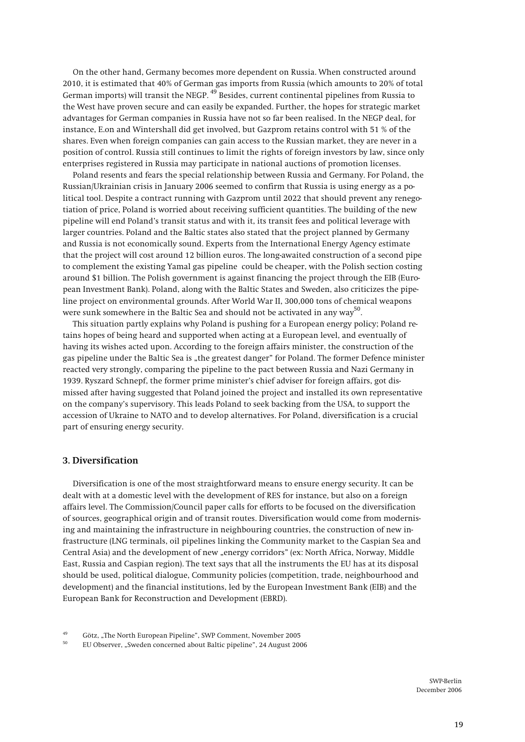**On the other hand, Germany becomes more dependent on Russia. When constructed around 2010, it is estimated that 40% of German gas imports from Russia (which amounts to 20% of total German imports) will transit the NEGP. 49 Besides, current continental pipelines from Russia to the West have proven secure and can easily be expanded. Further, the hopes for strategic market advantages for German companies in Russia have not so far been realised. In the NEGP deal, for instance, E.on and Wintershall did get involved, but Gazprom retains control with 51 % of the shares. Even when foreign companies can gain access to the Russian market, they are never in a position of control. Russia still continues to limit the rights of foreign investors by law, since only enterprises registered in Russia may participate in national auctions of promotion licenses.** 

**Poland resents and fears the special relationship between Russia and Germany. For Poland, the Russian/Ukrainian crisis in January 2006 seemed to confirm that Russia is using energy as a political tool. Despite a contract running with Gazprom until 2022 that should prevent any renegotiation of price, Poland is worried about receiving sufficient quantities. The building of the new pipeline will end Poland's transit status and with it, its transit fees and political leverage with larger countries. Poland and the Baltic states also stated that the project planned by Germany and Russia is not economically sound. Experts from the International Energy Agency estimate that the project will cost around 12 billion euros. The long-awaited construction of a second pipe to complement the existing Yamal gas pipeline could be cheaper, with the Polish section costing around \$1 billion. The Polish government is against financing the project through the EIB (European Investment Bank). Poland, along with the Baltic States and Sweden, also criticizes the pipeline project on environmental grounds. After World War II, 300,000 tons of chemical weapons were sunk somewhere in the Baltic Sea and should not be activated in any way50.**

**This situation partly explains why Poland is pushing for a European energy policy; Poland retains hopes of being heard and supported when acting at a European level, and eventually of having its wishes acted upon. According to the foreign affairs minister, the construction of the**  gas pipeline under the Baltic Sea is "the greatest danger" for Poland. The former Defence minister **reacted very strongly, comparing the pipeline to the pact between Russia and Nazi Germany in 1939. Ryszard Schnepf, the former prime minister's chief adviser for foreign affairs, got dismissed after having suggested that Poland joined the project and installed its own representative on the company's supervisory. This leads Poland to seek backing from the USA, to support the accession of Ukraine to NATO and to develop alternatives. For Poland, diversification is a crucial part of ensuring energy security.** 

### **3. Diversification**

**Diversification is one of the most straightforward means to ensure energy security. It can be dealt with at a domestic level with the development of RES for instance, but also on a foreign affairs level. The Commission/Council paper calls for efforts to be focused on the diversification of sources, geographical origin and of transit routes. Diversification would come from modernising and maintaining the infrastructure in neighbouring countries, the construction of new infrastructure (LNG terminals, oil pipelines linking the Community market to the Caspian Sea and**  Central Asia) and the development of new "energy corridors" (ex: North Africa, Norway, Middle **East, Russia and Caspian region). The text says that all the instruments the EU has at its disposal should be used, political dialogue, Community policies (competition, trade, neighbourhood and development) and the financial institutions, led by the European Investment Bank (EIB) and the European Bank for Reconstruction and Development (EBRD).** 

**50 EU Observer, "Sweden concerned about Baltic pipeline", 24 August 2006** 

**<sup>49</sup> Götz, "The North European Pipeline", SWP Comment, November 2005**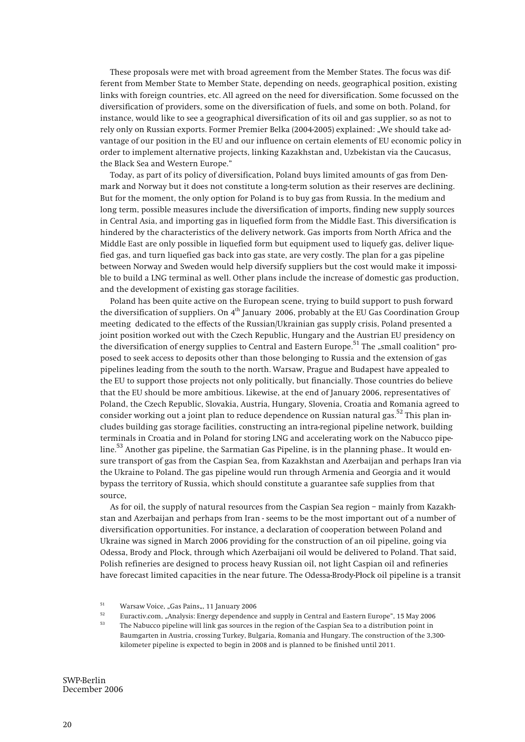**These proposals were met with broad agreement from the Member States. The focus was different from Member State to Member State, depending on needs, geographical position, existing links with foreign countries, etc. All agreed on the need for diversification. Some focussed on the diversification of providers, some on the diversification of fuels, and some on both. Poland, for instance, would like to see a geographical diversification of its oil and gas supplier, so as not to rely only on Russian exports. Former Premier Belka (2004-2005) explained: "We should take advantage of our position in the EU and our influence on certain elements of EU economic policy in order to implement alternative projects, linking Kazakhstan and, Uzbekistan via the Caucasus, the Black Sea and Western Europe."** 

**Today, as part of its policy of diversification, Poland buys limited amounts of gas from Denmark and Norway but it does not constitute a long-term solution as their reserves are declining. But for the moment, the only option for Poland is to buy gas from Russia. In the medium and long term, possible measures include the diversification of imports, finding new supply sources in Central Asia, and importing gas in liquefied form from the Middle East. This diversification is hindered by the characteristics of the delivery network. Gas imports from North Africa and the Middle East are only possible in liquefied form but equipment used to liquefy gas, deliver liquefied gas, and turn liquefied gas back into gas state, are very costly. The plan for a gas pipeline between Norway and Sweden would help diversify suppliers but the cost would make it impossible to build a LNG terminal as well. Other plans include the increase of domestic gas production, and the development of existing gas storage facilities.** 

**Poland has been quite active on the European scene, trying to build support to push forward the diversification of suppliers. On 4th January 2006, probably at the EU Gas Coordination Group meeting dedicated to the effects of the Russian/Ukrainian gas supply crisis, Poland presented a joint position worked out with the Czech Republic, Hungary and the Austrian EU presidency on**  the diversification of energy supplies to Central and Eastern Europe.<sup>51</sup> The "small coalition" pro**posed to seek access to deposits other than those belonging to Russia and the extension of gas pipelines leading from the south to the north. Warsaw, Prague and Budapest have appealed to the EU to support those projects not only politically, but financially. Those countries do believe that the EU should be more ambitious. Likewise, at the end of January 2006, representatives of Poland, the Czech Republic, Slovakia, Austria, Hungary, Slovenia, Croatia and Romania agreed to consider working out a joint plan to reduce dependence on Russian natural gas.52 This plan includes building gas storage facilities, constructing an intra-regional pipeline network, building terminals in Croatia and in Poland for storing LNG and accelerating work on the Nabucco pipeline.53 Another gas pipeline, the Sarmatian Gas Pipeline, is in the planning phase.. It would ensure transport of gas from the Caspian Sea, from Kazakhstan and Azerbaijan and perhaps Iran via the Ukraine to Poland. The gas pipeline would run through Armenia and Georgia and it would bypass the territory of Russia, which should constitute a guarantee safe supplies from that source,** 

**As for oil, the supply of natural resources from the Caspian Sea region – mainly from Kazakhstan and Azerbaijan and perhaps from Iran - seems to be the most important out of a number of diversification opportunities. For instance, a declaration of cooperation between Poland and Ukraine was signed in March 2006 providing for the construction of an oil pipeline, going via Odessa, Brody and Plock, through which Azerbaijani oil would be delivered to Poland. That said, Polish refineries are designed to process heavy Russian oil, not light Caspian oil and refineries have forecast limited capacities in the near future. The Odessa-Brody-Påock oil pipeline is a transit** 

**Baumgarten in Austria, crossing Turkey, Bulgaria, Romania and Hungary. The construction of the 3,300 kilometer pipeline is expected to begin in 2008 and is planned to be finished until 2011.** 

<sup>&</sup>lt;sup>51</sup> Warsaw Voice, "Gas Pains,, 11 January 2006<br><sup>52</sup> Expective some Applying Francy dependence

**<sup>52</sup> Euractiv.com, "Analysis: Energy dependence and supply in Central and Eastern Europe", 15 May 2006 53 The Nabucco pipeline will link gas sources in the region of the Caspian Sea to a distribution point in**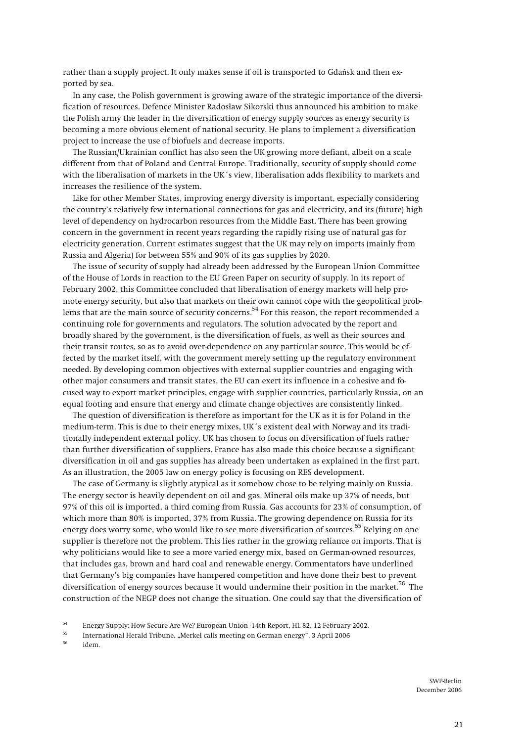rather than a supply project. It only makes sense if oil is transported to Gdańsk and then ex**ported by sea.** 

**In any case, the Polish government is growing aware of the strategic importance of the diversification of resources. Defence Minister Radosåaw Sikorski thus announced his ambition to make the Polish army the leader in the diversification of energy supply sources as energy security is becoming a more obvious element of national security. He plans to implement a diversification project to increase the use of biofuels and decrease imports.** 

**The Russian/Ukrainian conflict has also seen the UK growing more defiant, albeit on a scale different from that of Poland and Central Europe. Traditionally, security of supply should come with the liberalisation of markets in the UK´s view, liberalisation adds flexibility to markets and increases the resilience of the system.** 

**Like for other Member States, improving energy diversity is important, especially considering the country's relatively few international connections for gas and electricity, and its (future) high level of dependency on hydrocarbon resources from the Middle East. There has been growing concern in the government in recent years regarding the rapidly rising use of natural gas for electricity generation. Current estimates suggest that the UK may rely on imports (mainly from Russia and Algeria) for between 55% and 90% of its gas supplies by 2020.** 

**The issue of security of supply had already been addressed by the European Union Committee of the House of Lords in reaction to the EU Green Paper on security of supply. In its report of February 2002, this Committee concluded that liberalisation of energy markets will help promote energy security, but also that markets on their own cannot cope with the geopolitical problems that are the main source of security concerns.54 For this reason, the report recommended a continuing role for governments and regulators. The solution advocated by the report and broadly shared by the government, is the diversification of fuels, as well as their sources and their transit routes, so as to avoid over-dependence on any particular source. This would be effected by the market itself, with the government merely setting up the regulatory environment needed. By developing common objectives with external supplier countries and engaging with other major consumers and transit states, the EU can exert its influence in a cohesive and focused way to export market principles, engage with supplier countries, particularly Russia, on an equal footing and ensure that energy and climate change objectives are consistently linked.** 

**The question of diversification is therefore as important for the UK as it is for Poland in the medium-term. This is due to their energy mixes, UK´s existent deal with Norway and its traditionally independent external policy. UK has chosen to focus on diversification of fuels rather than further diversification of suppliers. France has also made this choice because a significant diversification in oil and gas supplies has already been undertaken as explained in the first part. As an illustration, the 2005 law on energy policy is focusing on RES development.** 

**The case of Germany is slightly atypical as it somehow chose to be relying mainly on Russia. The energy sector is heavily dependent on oil and gas. Mineral oils make up 37% of needs, but 97% of this oil is imported, a third coming from Russia. Gas accounts for 23% of consumption, of which more than 80% is imported, 37% from Russia. The growing dependence on Russia for its energy does worry some, who would like to see more diversification of sources.55 Relying on one supplier is therefore not the problem. This lies rather in the growing reliance on imports. That is why politicians would like to see a more varied energy mix, based on German-owned resources, that includes gas, brown and hard coal and renewable energy. Commentators have underlined that Germany's big companies have hampered competition and have done their best to prevent diversification of energy sources because it would undermine their position in the market.56 The construction of the NEGP does not change the situation. One could say that the diversification of** 

**56 idem.** 

<sup>54</sup> Energy Supply: How Secure Are We? European Union -14th Report, HL 82, 12 February 2002.<br>55 International Herald Tribune, "Merkel calls meeting on German energy", 3 April 2006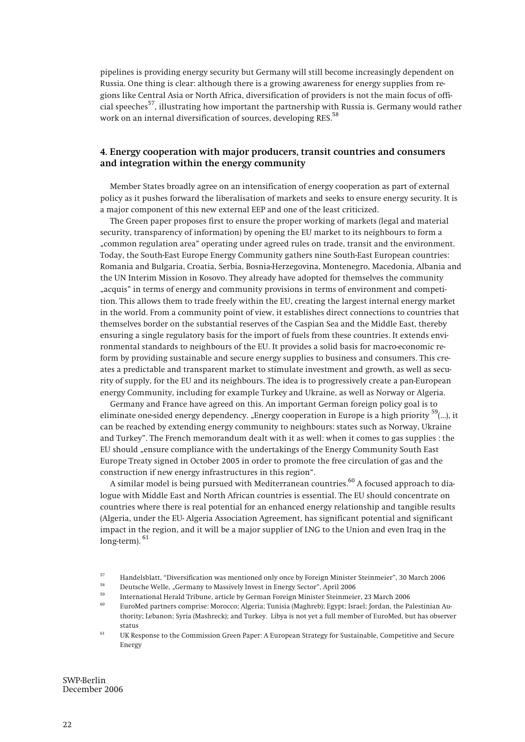**pipelines is providing energy security but Germany will still become increasingly dependent on Russia. One thing is clear: although there is a growing awareness for energy supplies from regions like Central Asia or North Africa, diversification of providers is not the main focus of official speeches57, illustrating how important the partnership with Russia is. Germany would rather work on an internal diversification of sources, developing RES.58**

# **4. Energy cooperation with major producers, transit countries and consumers and integration within the energy community**

**Member States broadly agree on an intensification of energy cooperation as part of external policy as it pushes forward the liberalisation of markets and seeks to ensure energy security. It is a major component of this new external EEP and one of the least criticized.** 

**The Green paper proposes first to ensure the proper working of markets (legal and material security, transparency of information) by opening the EU market to its neighbours to form a "common regulation area" operating under agreed rules on trade, transit and the environment. Today, the South-East Europe Energy Community gathers nine South-East European countries: Romania and Bulgaria, Croatia, Serbia, Bosnia-Herzegovina, Montenegro, Macedonia, Albania and the UN Interim Mission in Kosovo. They already have adopted for themselves the community "acquis" in terms of energy and community provisions in terms of environment and competition. This allows them to trade freely within the EU, creating the largest internal energy market in the world. From a community point of view, it establishes direct connections to countries that themselves border on the substantial reserves of the Caspian Sea and the Middle East, thereby ensuring a single regulatory basis for the import of fuels from these countries. It extends environmental standards to neighbours of the EU. It provides a solid basis for macro-economic reform by providing sustainable and secure energy supplies to business and consumers. This creates a predictable and transparent market to stimulate investment and growth, as well as security of supply, for the EU and its neighbours. The idea is to progressively create a pan-European energy Community, including for example Turkey and Ukraine, as well as Norway or Algeria.** 

**Germany and France have agreed on this. An important German foreign policy goal is to eliminate one-sided energy dependency. "Energy cooperation in Europe is a high priority 59(…), it can be reached by extending energy community to neighbours: states such as Norway, Ukraine and Turkey". The French memorandum dealt with it as well: when it comes to gas supplies : the EU should "ensure compliance with the undertakings of the Energy Community South East Europe Treaty signed in October 2005 in order to promote the free circulation of gas and the construction if new energy infrastructures in this region".** 

**A similar model is being pursued with Mediterranean countries.60 A focused approach to dialogue with Middle East and North African countries is essential. The EU should concentrate on countries where there is real potential for an enhanced energy relationship and tangible results (Algeria, under the EU- Algeria Association Agreement, has significant potential and significant impact in the region, and it will be a major supplier of LNG to the Union and even Iraq in the long-term).<sup>61</sup>**

- 
- 
- **60 EuroMed partners comprise: Morocco; Algeria; Tunisia (Maghreb); Egypt; Israel; Jordan, the Palestinian Authority; Lebanon; Syria (Mashreck); and Turkey. Libya is not yet a full member of EuroMed, but has observer status**
- **61 UK Response to the Commission Green Paper: A European Strategy for Sustainable, Competitive and Secure Energy**

<sup>&</sup>lt;sup>57</sup> Handelsblatt, "Diversification was mentioned only once by Foreign Minister Steinmeier", 30 March 2006<br><sup>58</sup> Deutsche Welle, "Germany to Massively Invest in Energy Sector", April 2006<br>International Herald Tribune, artic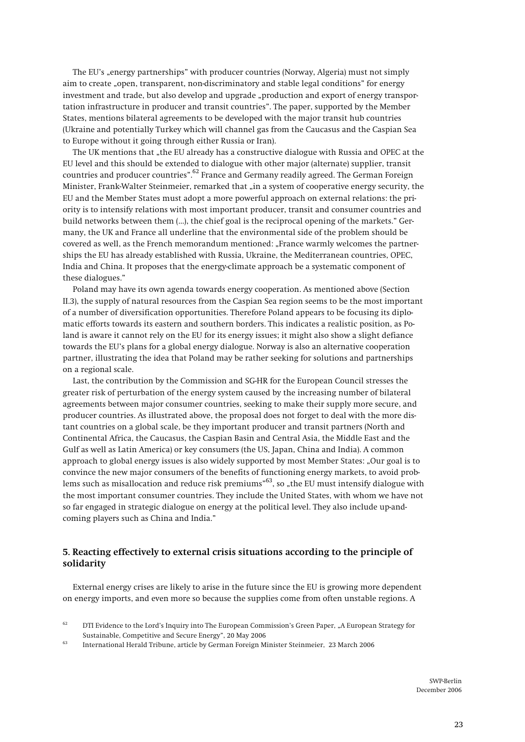The EU's "energy partnerships" with producer countries (Norway, Algeria) must not simply **aim to create "open, transparent, non-discriminatory and stable legal conditions" for energy investment and trade, but also develop and upgrade "production and export of energy transportation infrastructure in producer and transit countries". The paper, supported by the Member States, mentions bilateral agreements to be developed with the major transit hub countries (Ukraine and potentially Turkey which will channel gas from the Caucasus and the Caspian Sea to Europe without it going through either Russia or Iran).** 

**The UK mentions that "the EU already has a constructive dialogue with Russia and OPEC at the EU level and this should be extended to dialogue with other major (alternate) supplier, transit countries and producer countries".62 France and Germany readily agreed. The German Foreign**  Minister, Frank-Walter Steinmeier, remarked that "in a system of cooperative energy security, the **EU and the Member States must adopt a more powerful approach on external relations: the priority is to intensify relations with most important producer, transit and consumer countries and build networks between them (…), the chief goal is the reciprocal opening of the markets." Germany, the UK and France all underline that the environmental side of the problem should be covered as well, as the French memorandum mentioned: "France warmly welcomes the partnerships the EU has already established with Russia, Ukraine, the Mediterranean countries, OPEC, India and China. It proposes that the energy-climate approach be a systematic component of these dialogues."** 

**Poland may have its own agenda towards energy cooperation. As mentioned above (Section II.3), the supply of natural resources from the Caspian Sea region seems to be the most important of a number of diversification opportunities. Therefore Poland appears to be focusing its diplomatic efforts towards its eastern and southern borders. This indicates a realistic position, as Poland is aware it cannot rely on the EU for its energy issues; it might also show a slight defiance towards the EU's plans for a global energy dialogue. Norway is also an alternative cooperation partner, illustrating the idea that Poland may be rather seeking for solutions and partnerships on a regional scale.** 

**Last, the contribution by the Commission and SG-HR for the European Council stresses the greater risk of perturbation of the energy system caused by the increasing number of bilateral agreements between major consumer countries, seeking to make their supply more secure, and producer countries. As illustrated above, the proposal does not forget to deal with the more distant countries on a global scale, be they important producer and transit partners (North and Continental Africa, the Caucasus, the Caspian Basin and Central Asia, the Middle East and the Gulf as well as Latin America) or key consumers (the US, Japan, China and India). A common approach to global energy issues is also widely supported by most Member States: "Our goal is to convince the new major consumers of the benefits of functioning energy markets, to avoid prob**lems such as misallocation and reduce risk premiums"<sup>63</sup>, so "the EU must intensify dialogue with **the most important consumer countries. They include the United States, with whom we have not so far engaged in strategic dialogue on energy at the political level. They also include up-andcoming players such as China and India."** 

# **5. Reacting effectively to external crisis situations according to the principle of solidarity**

**External energy crises are likely to arise in the future since the EU is growing more dependent on energy imports, and even more so because the supplies come from often unstable regions. A** 

<sup>&</sup>lt;sup>62</sup> DTI Evidence to the Lord's Inquiry into The European Commission's Green Paper, "A European Strategy for **Sustainable, Competitive and Secure Energy", 20 May 2006 63 International Herald Tribune, article by German Foreign Minister Steinmeier, 23 March 2006**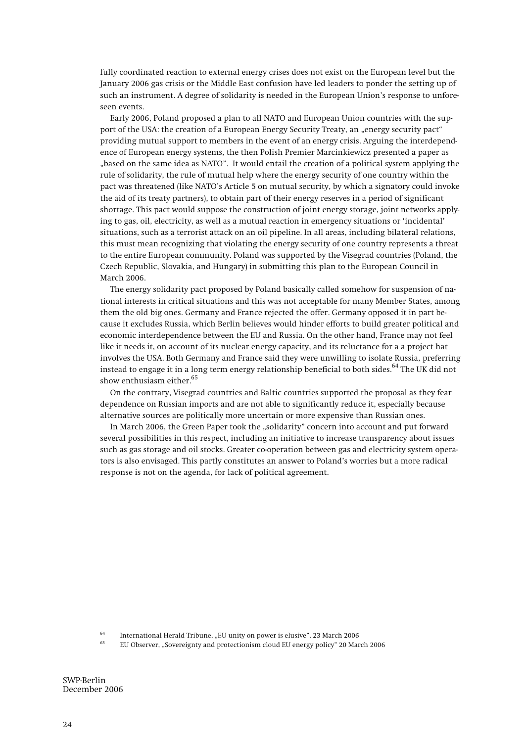**fully coordinated reaction to external energy crises does not exist on the European level but the January 2006 gas crisis or the Middle East confusion have led leaders to ponder the setting up of such an instrument. A degree of solidarity is needed in the European Union's response to unforeseen events.** 

**Early 2006, Poland proposed a plan to all NATO and European Union countries with the support of the USA: the creation of a European Energy Security Treaty, an "energy security pact" providing mutual support to members in the event of an energy crisis. Arguing the interdependence of European energy systems, the then Polish Premier Marcinkiewicz presented a paper as "based on the same idea as NATO". It would entail the creation of a political system applying the rule of solidarity, the rule of mutual help where the energy security of one country within the pact was threatened (like NATO's Article 5 on mutual security, by which a signatory could invoke the aid of its treaty partners), to obtain part of their energy reserves in a period of significant shortage. This pact would suppose the construction of joint energy storage, joint networks applying to gas, oil, electricity, as well as a mutual reaction in emergency situations or 'incidental' situations, such as a terrorist attack on an oil pipeline. In all areas, including bilateral relations, this must mean recognizing that violating the energy security of one country represents a threat to the entire European community. Poland was supported by the Visegrad countries (Poland, the Czech Republic, Slovakia, and Hungary) in submitting this plan to the European Council in March 2006.**

**The energy solidarity pact proposed by Poland basically called somehow for suspension of national interests in critical situations and this was not acceptable for many Member States, among them the old big ones. Germany and France rejected the offer. Germany opposed it in part because it excludes Russia, which Berlin believes would hinder efforts to build greater political and economic interdependence between the EU and Russia. On the other hand, France may not feel like it needs it, on account of its nuclear energy capacity, and its reluctance for a a project hat involves the USA. Both Germany and France said they were unwilling to isolate Russia, preferring instead to engage it in a long term energy relationship beneficial to both sides.64 The UK did not show enthusiasm either.65**

**On the contrary, Visegrad countries and Baltic countries supported the proposal as they fear dependence on Russian imports and are not able to significantly reduce it, especially because alternative sources are politically more uncertain or more expensive than Russian ones.** 

In March 2006, the Green Paper took the "solidarity" concern into account and put forward **several possibilities in this respect, including an initiative to increase transparency about issues such as gas storage and oil stocks. Greater co-operation between gas and electricity system operators is also envisaged. This partly constitutes an answer to Poland's worries but a more radical response is not on the agenda, for lack of political agreement.** 

<sup>64</sup> International Herald Tribune, "EU unity on power is elusive", 23 March 2006<br><sup>65</sup> EU Observer, "Sovereignty and protectionism cloud EU energy policy" 20 March 2006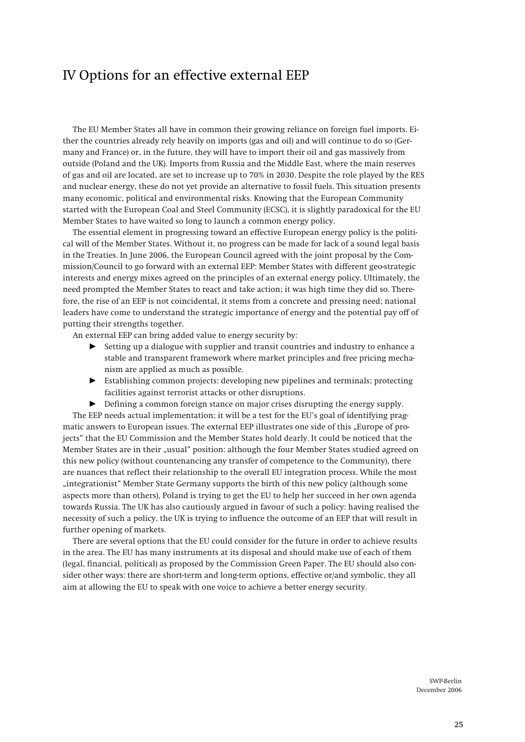# IV Options for an effective external EEP

**The EU Member States all have in common their growing reliance on foreign fuel imports. Either the countries already rely heavily on imports (gas and oil) and will continue to do so (Germany and France) or, in the future, they will have to import their oil and gas massively from outside (Poland and the UK). Imports from Russia and the Middle East, where the main reserves of gas and oil are located, are set to increase up to 70% in 2030. Despite the role played by the RES and nuclear energy, these do not yet provide an alternative to fossil fuels. This situation presents many economic, political and environmental risks. Knowing that the European Community started with the European Coal and Steel Community (ECSC), it is slightly paradoxical for the EU Member States to have waited so long to launch a common energy policy.** 

**The essential element in progressing toward an effective European energy policy is the political will of the Member States. Without it, no progress can be made for lack of a sound legal basis in the Treaties. In June 2006, the European Council agreed with the joint proposal by the Commission/Council to go forward with an external EEP: Member States with different geo-strategic interests and energy mixes agreed on the principles of an external energy policy. Ultimately, the need prompted the Member States to react and take action; it was high time they did so. Therefore, the rise of an EEP is not coincidental, it stems from a concrete and pressing need; national leaders have come to understand the strategic importance of energy and the potential pay off of putting their strengths together.** 

**An external EEP can bring added value to energy security by:** 

- **EXECUTE:** Setting up a dialogue with supplier and transit countries and industry to enhance a **stable and transparent framework where market principles and free pricing mechanism are applied as much as possible.**
- ▶ Establishing common projects: developing new pipelines and terminals; protecting **facilities against terrorist attacks or other disruptions.**
- $\blacktriangleright$  Defining a common foreign stance on major crises disrupting the energy supply.

**The EEP needs actual implementation; it will be a test for the EU's goal of identifying prag**matic answers to European issues. The external EEP illustrates one side of this "Europe of pro**jects" that the EU Commission and the Member States hold dearly. It could be noticed that the Member States are in their "usual" position: although the four Member States studied agreed on this new policy (without countenancing any transfer of competence to the Community), there are nuances that reflect their relationship to the overall EU integration process. While the most "integrationist" Member State Germany supports the birth of this new policy (although some aspects more than others), Poland is trying to get the EU to help her succeed in her own agenda towards Russia. The UK has also cautiously argued in favour of such a policy: having realised the necessity of such a policy, the UK is trying to influence the outcome of an EEP that will result in further opening of markets.** 

**There are several options that the EU could consider for the future in order to achieve results in the area. The EU has many instruments at its disposal and should make use of each of them (legal, financial, political) as proposed by the Commission Green Paper. The EU should also consider other ways: there are short-term and long-term options, effective or/and symbolic, they all aim at allowing the EU to speak with one voice to achieve a better energy security.**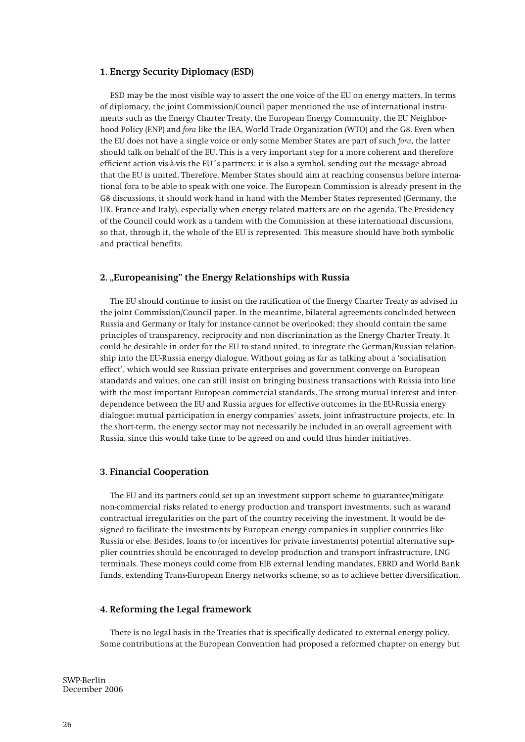# **1. Energy Security Diplomacy (ESD)**

**ESD may be the most visible way to assert the one voice of the EU on energy matters. In terms of diplomacy, the joint Commission/Council paper mentioned the use of international instruments such as the Energy Charter Treaty, the European Energy Community, the EU Neighborhood Policy (ENP) and** *fora* **like the IEA, World Trade Organization (WTO) and the G8. Even when the EU does not have a single voice or only some Member States are part of such** *fora***, the latter should talk on behalf of the EU. This is a very important step for a more coherent and therefore efficient action vis-à-vis the EU´s partners; it is also a symbol, sending out the message abroad that the EU is united. Therefore, Member States should aim at reaching consensus before international fora to be able to speak with one voice. The European Commission is already present in the G8 discussions, it should work hand in hand with the Member States represented (Germany, the UK, France and Italy), especially when energy related matters are on the agenda. The Presidency of the Council could work as a tandem with the Commission at these international discussions, so that, through it, the whole of the EU is represented. This measure should have both symbolic and practical benefits.** 

# 2. "Europeanising" the Energy Relationships with Russia

**The EU should continue to insist on the ratification of the Energy Charter Treaty as advised in the joint Commission/Council paper. In the meantime, bilateral agreements concluded between Russia and Germany or Italy for instance cannot be overlooked; they should contain the same principles of transparency, reciprocity and non discrimination as the Energy Charter Treaty. It could be desirable in order for the EU to stand united, to integrate the German/Russian relationship into the EU-Russia energy dialogue. Without going as far as talking about a 'socialisation effect', which would see Russian private enterprises and government converge on European standards and values, one can still insist on bringing business transactions with Russia into line with the most important European commercial standards. The strong mutual interest and interdependence between the EU and Russia argues for effective outcomes in the EU-Russia energy dialogue: mutual participation in energy companies' assets, joint infrastructure projects, etc. In the short-term, the energy sector may not necessarily be included in an overall agreement with Russia, since this would take time to be agreed on and could thus hinder initiatives.** 

### **3. Financial Cooperation**

**The EU and its partners could set up an investment support scheme to guarantee/mitigate non-commercial risks related to energy production and transport investments, such as warand contractual irregularities on the part of the country receiving the investment. It would be designed to facilitate the investments by European energy companies in supplier countries like Russia or else. Besides, loans to (or incentives for private investments) potential alternative supplier countries should be encouraged to develop production and transport infrastructure, LNG terminals. These moneys could come from EIB external lending mandates, EBRD and World Bank funds, extending Trans-European Energy networks scheme, so as to achieve better diversification.** 

#### **4. Reforming the Legal framework**

**There is no legal basis in the Treaties that is specifically dedicated to external energy policy. Some contributions at the European Convention had proposed a reformed chapter on energy but**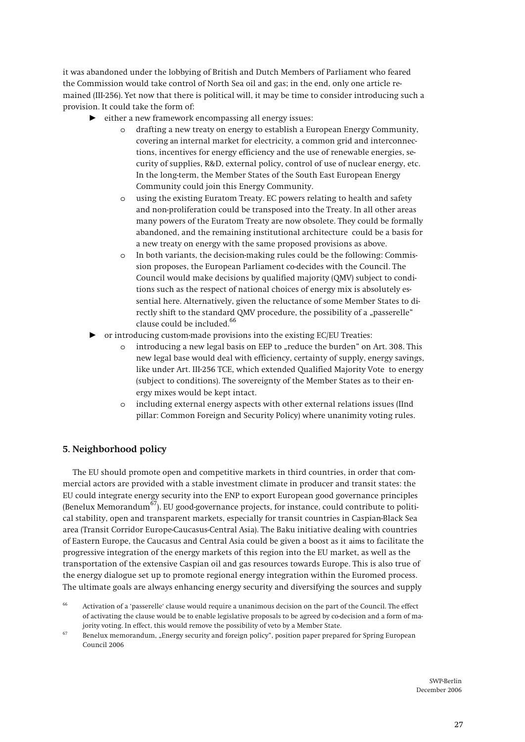**it was abandoned under the lobbying of British and Dutch Members of Parliament who feared the Commission would take control of North Sea oil and gas; in the end, only one article remained (III-256). Yet now that there is political will, it may be time to consider introducing such a provision. It could take the form of:** 

- either a new framework encompassing all energy issues:
	- o **drafting a new treaty on energy to establish a European Energy Community, covering** an **internal market for electricity, a common grid and interconnections, incentives for energy efficiency and the use of renewable energies, security of supplies, R&D, external policy, control of use of nuclear energy, etc. In the long-term, the Member States of the South East European Energy Community could join this Energy Community.**
	- o **using the existing Euratom Treaty. EC powers relating to health and safety and non-proliferation could be transposed into the Treaty. In all other areas many powers of the Euratom Treaty are now obsolete. They could be formally abandoned, and the remaining institutional architecture could be a basis for a new treaty on energy with the same proposed provisions as above.**
	- o **In both variants, the decision-making rules could be the following: Commission proposes, the European Parliament co-decides with the Council. The Council would make decisions by qualified majority (QMV) subject to conditions such as the respect of national choices of energy mix is absolutely essential here. Alternatively, given the reluctance of some Member States to di**rectly shift to the standard QMV procedure, the possibility of a "passerelle" **clause could be included.66**
- or introducing custom-made provisions into the existing EC/EU Treaties:
	- o **introducing a new legal basis on EEP to "reduce the burden" on Art. 308. This new legal base would deal with efficiency, certainty of supply, energy savings, like under Art. III-256 TCE, which extended Qualified Majority Vote to energy (subject to conditions). The sovereignty of the Member States as to their energy mixes would be kept intact.**
	- o **including external energy aspects with other external relations issues (IInd pillar: Common Foreign and Security Policy) where unanimity voting rules.**

# **5. Neighborhood policy**

**The EU should promote open and competitive markets in third countries, in order that commercial actors are provided with a stable investment climate in producer and transit states: the EU could integrate energy security into the ENP to export European good governance principles (Benelux Memorandum67). EU good-governance projects, for instance, could contribute to political stability, open and transparent markets, especially for transit countries in Caspian-Black Sea area (Transit Corridor Europe-Caucasus-Central Asia). The Baku initiative dealing with countries of Eastern Europe, the Caucasus and Central Asia could be given a boost as it** aims **to facilitate the progressive integration of the energy markets of this region into the EU market, as well as the transportation of the extensive Caspian oil and gas resources towards Europe. This is also true of the energy dialogue set up to promote regional energy integration within the Euromed process. The ultimate goals are always enhancing energy security and diversifying the sources and supply** 

**<sup>66</sup> Activation of a 'passerelle' clause would require a unanimous decision on the part of the Council. The effect of activating the clause would be to enable legislative proposals to be agreed by co-decision and a form of ma-**

jority voting. In effect, this would remove the possibility of veto by a Member State.<br><sup>67</sup> Benelux memorandum, "Energy security and foreign policy", position paper prepared for Spring European **Council 2006**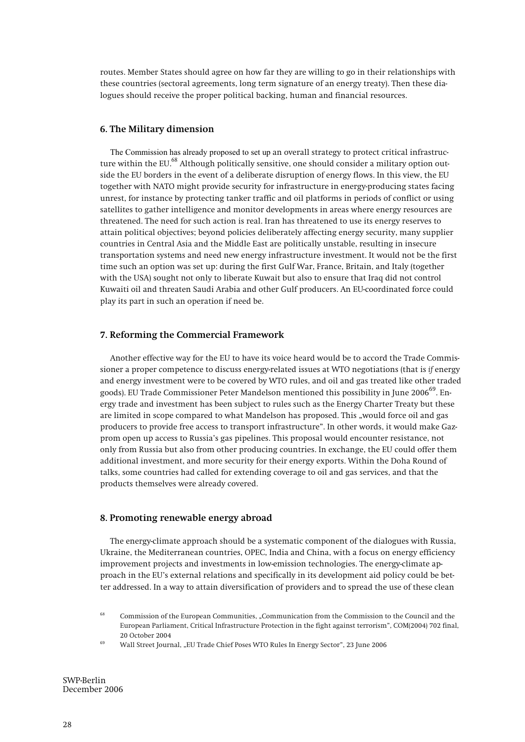**routes. Member States should agree on how far they are willing to go in their relationships with these countries (sectoral agreements, long term signature of an energy treaty). Then these dialogues should receive the proper political backing, human and financial resources.** 

### **6. The Military dimension**

The Commission has already proposed to set up **an overall strategy to protect critical infrastructure within the EU.**68 **Although politically sensitive, one should consider a military option outside the EU borders in the event of a deliberate disruption of energy flows. In this view, the EU together with NATO might provide security for infrastructure in energy-producing states facing unrest, for instance by protecting tanker traffic and oil platforms in periods of conflict or using satellites to gather intelligence and monitor developments in areas where energy resources are threatened. The need for such action is real. Iran has threatened to use its energy reserves to attain political objectives; beyond policies deliberately affecting energy security, many supplier countries in Central Asia and the Middle East are politically unstable, resulting in insecure transportation systems and need new energy infrastructure investment. It would not be the first time such an option was set up: during the first Gulf War, France, Britain, and Italy (together with the USA) sought not only to liberate Kuwait but also to ensure that Iraq did not control Kuwaiti oil and threaten Saudi Arabia and other Gulf producers. An EU-coordinated force could play its part in such an operation if need be.** 

#### **7. Reforming the Commercial Framework**

**Another effective way for the EU to have its voice heard would be to accord the Trade Commissioner a proper competence to discuss energy-related issues at WTO negotiations (that is** *if* **energy and energy investment were to be covered by WTO rules, and oil and gas treated like other traded goods). EU Trade Commissioner Peter Mandelson mentioned this possibility in June 200669. Energy trade and investment has been subject to rules such as the Energy Charter Treaty but these**  are limited in scope compared to what Mandelson has proposed. This "would force oil and gas **producers to provide free access to transport infrastructure". In other words, it would make Gazprom open up access to Russia's gas pipelines. This proposal would encounter resistance, not only from Russia but also from other producing countries. In exchange, the EU could offer them additional investment, and more security for their energy exports. Within the Doha Round of talks, some countries had called for extending coverage to oil and gas services, and that the products themselves were already covered.** 

#### **8. Promoting renewable energy abroad**

**The energy-climate approach should be a systematic component of the dialogues with Russia, Ukraine, the Mediterranean countries, OPEC, India and China, with a focus on energy efficiency improvement projects and investments in low-emission technologies. The energy-climate approach in the EU's external relations and specifically in its development aid policy could be better addressed. In a way to attain diversification of providers and to spread the use of these clean** 

**<sup>68</sup> Commission of the European Communities, "Communication from the Commission to the Council and the European Parliament, Critical Infrastructure Protection in the fight against terrorism", COM(2004) 702 final, 20 October 2004 69 Wall Street Journal, "EU Trade Chief Poses WTO Rules In Energy Sector", 23 June 2006**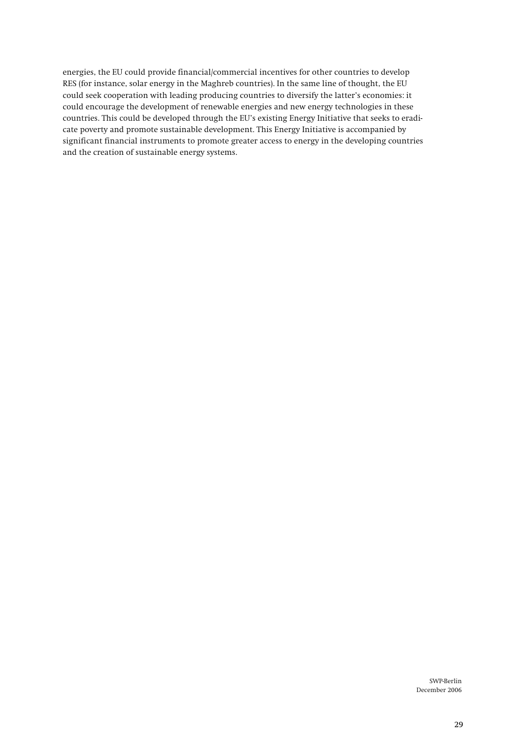**energies, the EU could provide financial/commercial incentives for other countries to develop RES (for instance, solar energy in the Maghreb countries). In the same line of thought, the EU could seek cooperation with leading producing countries to diversify the latter's economies: it could encourage the development of renewable energies and new energy technologies in these countries. This could be developed through the EU's existing Energy Initiative that seeks to eradicate poverty and promote sustainable development. This Energy Initiative is accompanied by significant financial instruments to promote greater access to energy in the developing countries and the creation of sustainable energy systems.**